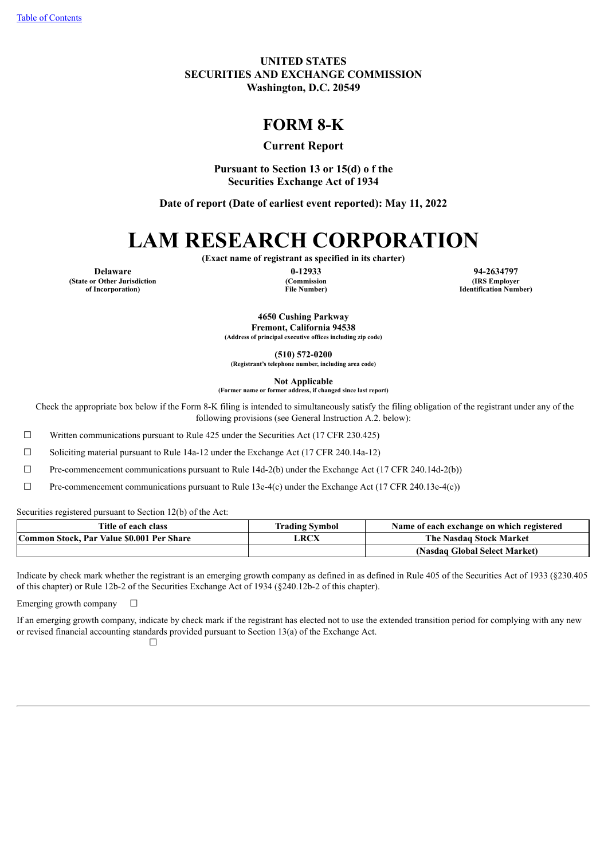**UNITED STATES SECURITIES AND EXCHANGE COMMISSION Washington, D.C. 20549**

# **FORM 8-K**

## **Current Report**

**Pursuant to Section 13 or 15(d) o f the Securities Exchange Act of 1934**

**Date of report (Date of earliest event reported): May 11, 2022**

# **LAM RESEARCH CORPORATION**

**(Exact name of registrant as specified in its charter)**

**(State or Other Jurisdiction of Incorporation)**

**(Commission File Number)**

**Delaware 0-12933 94-2634797 (IRS Employer Identification Number)**

> **4650 Cushing Parkway Fremont, California 94538 (Address of principal executive offices including zip code)**

**(510) 572-0200 (Registrant's telephone number, including area code)**

**Not Applicable**

**(Former name or former address, if changed since last report)**

Check the appropriate box below if the Form 8-K filing is intended to simultaneously satisfy the filing obligation of the registrant under any of the following provisions (see General Instruction A.2. below):

 $\Box$  Written communications pursuant to Rule 425 under the Securities Act (17 CFR 230.425)

☐ Soliciting material pursuant to Rule 14a-12 under the Exchange Act (17 CFR 240.14a-12)

 $\Box$  Pre-commencement communications pursuant to Rule 14d-2(b) under the Exchange Act (17 CFR 240.14d-2(b))

 $\Box$  Pre-commencement communications pursuant to Rule 13e-4(c) under the Exchange Act (17 CFR 240.13e-4(c))

Securities registered pursuant to Section 12(b) of the Act:

| Title of each class                       | <b>Trading Symbol</b> | Name of each exchange on which registered |
|-------------------------------------------|-----------------------|-------------------------------------------|
| Common Stock, Par Value \$0.001 Per Share | LRCX                  | The Nasdag Stock Market                   |
|                                           |                       | (Nasdaq Global Select Market)             |

Indicate by check mark whether the registrant is an emerging growth company as defined in as defined in Rule 405 of the Securities Act of 1933 (§230.405 of this chapter) or Rule 12b-2 of the Securities Exchange Act of 1934 (§240.12b-2 of this chapter).

Emerging growth company  $\Box$ 

<span id="page-0-0"></span>If an emerging growth company, indicate by check mark if the registrant has elected not to use the extended transition period for complying with any new or revised financial accounting standards provided pursuant to Section 13(a) of the Exchange Act.

 $\Box$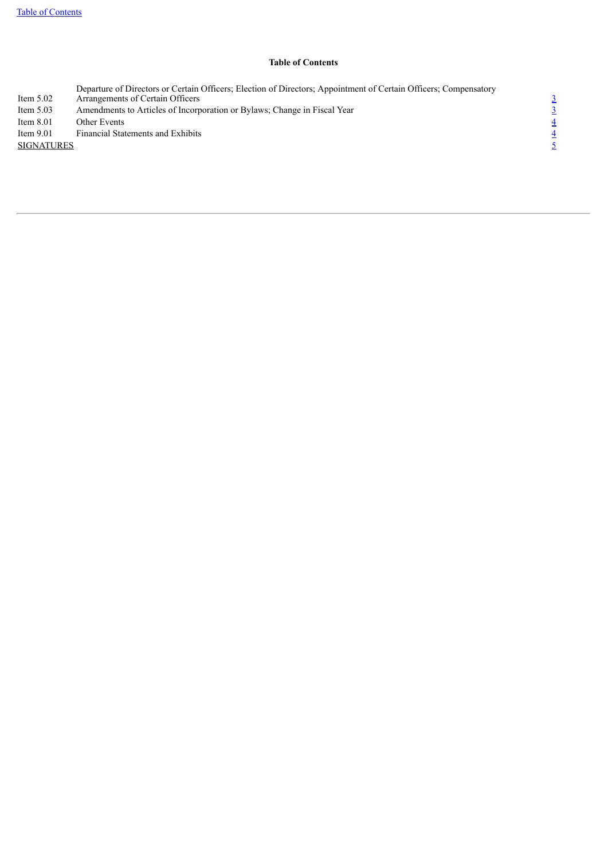#### **Table of Contents**

<span id="page-1-0"></span>Item 5.02<br>Item 5.03 Departure of Directors or Certain Officers; Election of Directors; Appointment of Certain Officers; Compensatory Arrangements of Certain Officers [3](#page-1-0) Item 5.02 Arrangements of Certain Officers<br>
Item 5.0[3](#page-2-0) Amendments to Articles of Incorporation or Bylaws; Change in Fiscal Year  $\frac{3}{4}$ <br>
Item 8.01 Other Events  $\frac{4}{4}$ <br>
SIGNATURES  $\frac{4}{5}$ Item 8.01 Other Events  $\frac{4}{3}$  $\frac{4}{3}$  $\frac{4}{3}$ Item 9.01 Financial Statements and Exhibits **SIGNATURES**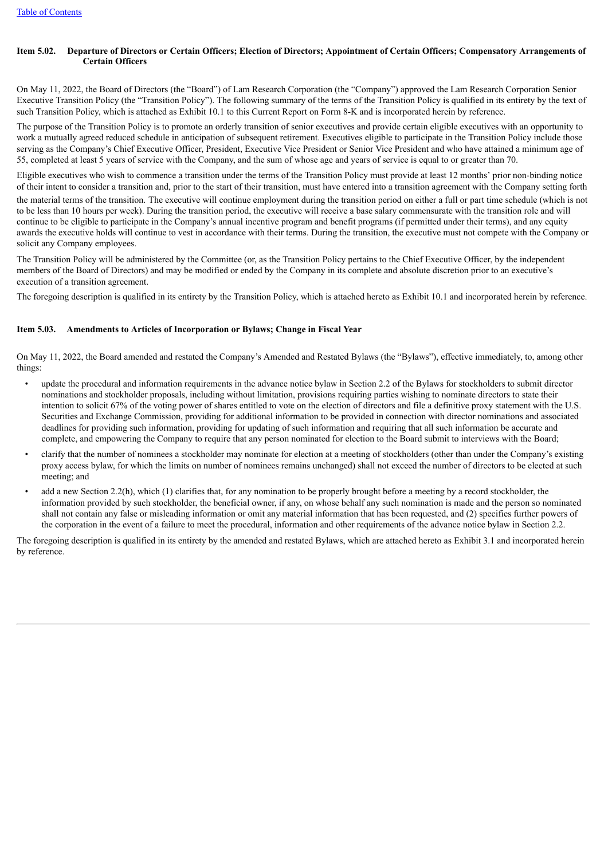#### Item 5.02. Departure of Directors or Certain Officers; Election of Directors; Appointment of Certain Officers; Compensatory Arrangements of **Certain Officers**

On May 11, 2022, the Board of Directors (the "Board") of Lam Research Corporation (the "Company") approved the Lam Research Corporation Senior Executive Transition Policy (the "Transition Policy"). The following summary of the terms of the Transition Policy is qualified in its entirety by the text of such Transition Policy, which is attached as Exhibit 10.1 to this Current Report on Form 8-K and is incorporated herein by reference.

The purpose of the Transition Policy is to promote an orderly transition of senior executives and provide certain eligible executives with an opportunity to work a mutually agreed reduced schedule in anticipation of subsequent retirement. Executives eligible to participate in the Transition Policy include those serving as the Company's Chief Executive Officer, President, Executive Vice President or Senior Vice President and who have attained a minimum age of 55, completed at least 5 years of service with the Company, and the sum of whose age and years of service is equal to or greater than 70.

Eligible executives who wish to commence a transition under the terms of the Transition Policy must provide at least 12 months' prior non-binding notice of their intent to consider a transition and, prior to the start of their transition, must have entered into a transition agreement with the Company setting forth the material terms of the transition. The executive will continue employment during the transition period on either a full or part time schedule (which is not to be less than 10 hours per week). During the transition period, the executive will receive a base salary commensurate with the transition role and will continue to be eligible to participate in the Company's annual incentive program and benefit programs (if permitted under their terms), and any equity awards the executive holds will continue to vest in accordance with their terms. During the transition, the executive must not compete with the Company or solicit any Company employees.

The Transition Policy will be administered by the Committee (or, as the Transition Policy pertains to the Chief Executive Officer, by the independent members of the Board of Directors) and may be modified or ended by the Company in its complete and absolute discretion prior to an executive's execution of a transition agreement.

The foregoing description is qualified in its entirety by the Transition Policy, which is attached hereto as Exhibit 10.1 and incorporated herein by reference.

#### <span id="page-2-0"></span>**Item 5.03. Amendments to Articles of Incorporation or Bylaws; Change in Fiscal Year**

On May 11, 2022, the Board amended and restated the Company's Amended and Restated Bylaws (the "Bylaws"), effective immediately, to, among other things:

- update the procedural and information requirements in the advance notice bylaw in Section 2.2 of the Bylaws for stockholders to submit director nominations and stockholder proposals, including without limitation, provisions requiring parties wishing to nominate directors to state their intention to solicit 67% of the voting power of shares entitled to vote on the election of directors and file a definitive proxy statement with the U.S. Securities and Exchange Commission, providing for additional information to be provided in connection with director nominations and associated deadlines for providing such information, providing for updating of such information and requiring that all such information be accurate and complete, and empowering the Company to require that any person nominated for election to the Board submit to interviews with the Board;
- clarify that the number of nominees a stockholder may nominate for election at a meeting of stockholders (other than under the Company's existing proxy access bylaw, for which the limits on number of nominees remains unchanged) shall not exceed the number of directors to be elected at such meeting; and
- add a new Section 2.2(h), which (1) clarifies that, for any nomination to be properly brought before a meeting by a record stockholder, the information provided by such stockholder, the beneficial owner, if any, on whose behalf any such nomination is made and the person so nominated shall not contain any false or misleading information or omit any material information that has been requested, and (2) specifies further powers of the corporation in the event of a failure to meet the procedural, information and other requirements of the advance notice bylaw in Section 2.2.

<span id="page-2-1"></span>The foregoing description is qualified in its entirety by the amended and restated Bylaws, which are attached hereto as Exhibit 3.1 and incorporated herein by reference.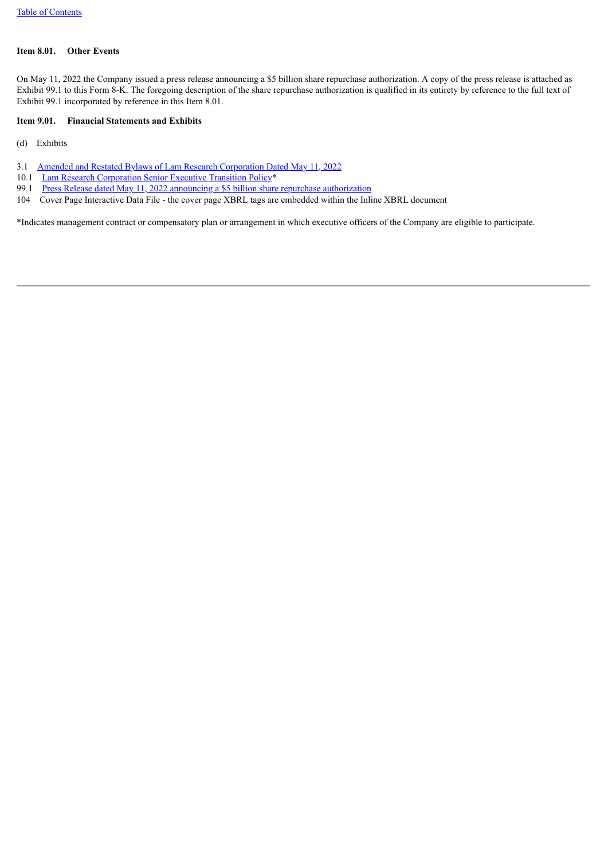#### **Item 8.01. Other Events**

On May 11, 2022 the Company issued a press release announcing a \$5 billion share repurchase authorization. A copy of the press release is attached as Exhibit 99.1 to this Form 8-K. The foregoing description of the share repurchase authorization is qualified in its entirety by reference to the full text of Exhibit 99.1 incorporated by reference in this Item 8.01.

#### <span id="page-3-0"></span>**Item 9.01. Financial Statements and Exhibits**

(d) Exhibits

- 3.1 Amended and Restated Bylaws of Lam Research [Corporation](#page-5-0) Dated May 11, 2022
- 10.1 Lam Research [Corporation](#page-35-0) Senior Executive Transition Policy\*
- 99.1 Press Release dated May 11, 2022 announcing a \$5 billion share repurchase [authorization](#page-45-0)
- 104 Cover Page Interactive Data File the cover page XBRL tags are embedded within the Inline XBRL document

<span id="page-3-1"></span>\*Indicates management contract or compensatory plan or arrangement in which executive officers of the Company are eligible to participate.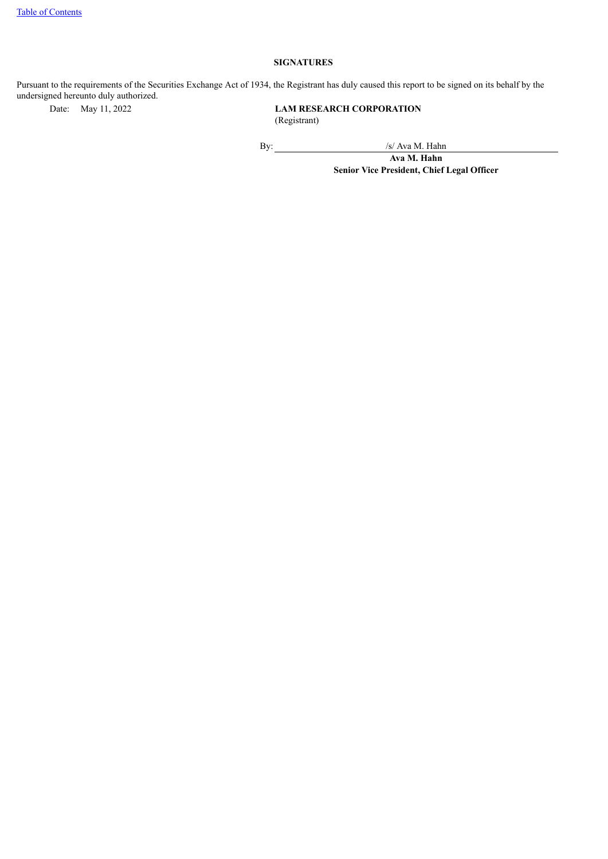## **SIGNATURES**

Pursuant to the requirements of the Securities Exchange Act of 1934, the Registrant has duly caused this report to be signed on its behalf by the undersigned hereunto duly authorized.<br>Date: May 11, 2022

**LAM RESEARCH CORPORATION** (Registrant)

By: /s/ Ava M. Hahn

**Ava M. Hahn Senior Vice President, Chief Legal Officer**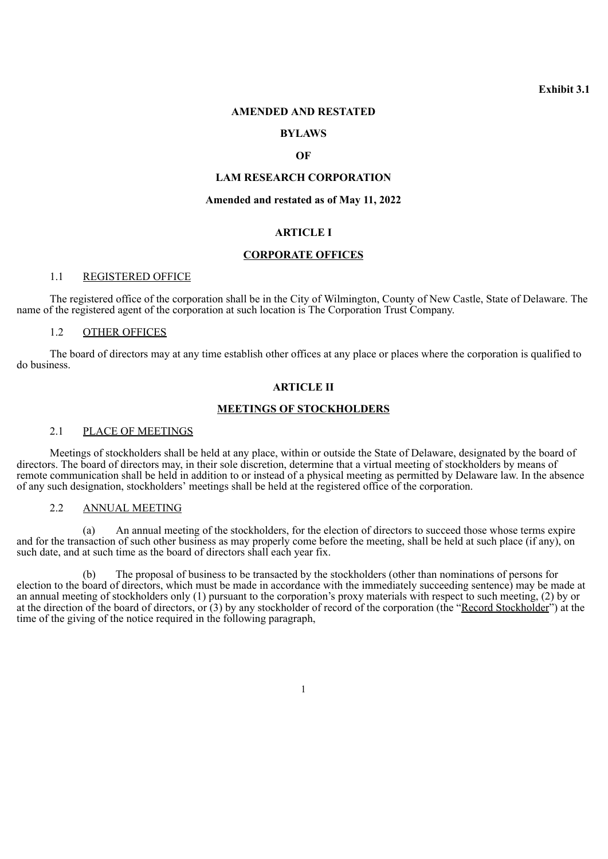**Exhibit 3.1**

#### <span id="page-5-0"></span>**AMENDED AND RESTATED**

#### **BYLAWS**

#### **OF**

## **LAM RESEARCH CORPORATION**

#### **Amended and restated as of May 11, 2022**

## **ARTICLE I**

#### **CORPORATE OFFICES**

#### 1.1 REGISTERED OFFICE

The registered office of the corporation shall be in the City of Wilmington, County of New Castle, State of Delaware. The name of the registered agent of the corporation at such location is The Corporation Trust Company.

#### 1.2 OTHER OFFICES

The board of directors may at any time establish other offices at any place or places where the corporation is qualified to do business.

## **ARTICLE II**

#### **MEETINGS OF STOCKHOLDERS**

#### 2.1 PLACE OF MEETINGS

Meetings of stockholders shall be held at any place, within or outside the State of Delaware, designated by the board of directors. The board of directors may, in their sole discretion, determine that a virtual meeting of stockholders by means of remote communication shall be held in addition to or instead of a physical meeting as permitted by Delaware law. In the absence of any such designation, stockholders' meetings shall be held at the registered office of the corporation.

#### 2.2 ANNUAL MEETING

(a) An annual meeting of the stockholders, for the election of directors to succeed those whose terms expire and for the transaction of such other business as may properly come before the meeting, shall be held at such place (if any), on such date, and at such time as the board of directors shall each year fix.

(b) The proposal of business to be transacted by the stockholders (other than nominations of persons for election to the board of directors, which must be made in accordance with the immediately succeeding sentence) may be made at an annual meeting of stockholders only (1) pursuant to the corporation's proxy materials with respect to such meeting, (2) by or at the direction of the board of directors, or (3) by any stockholder of record of the corporation (the "Record Stockholder") at the time of the giving of the notice required in the following paragraph,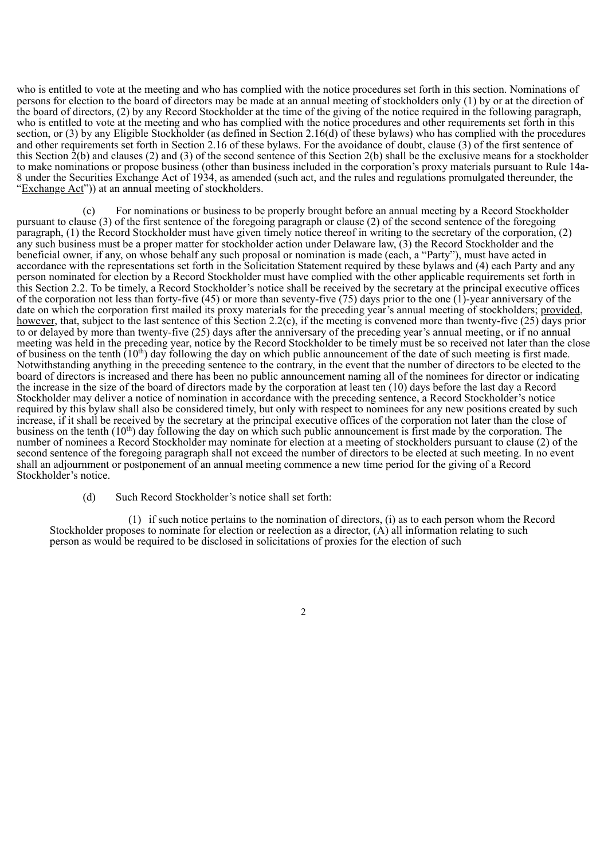who is entitled to vote at the meeting and who has complied with the notice procedures set forth in this section. Nominations of persons for election to the board of directors may be made at an annual meeting of stockholders only (1) by or at the direction of the board of directors, (2) by any Record Stockholder at the time of the giving of the notice required in the following paragraph, who is entitled to vote at the meeting and who has complied with the notice procedures and other requirements set forth in this section, or (3) by any Eligible Stockholder (as defined in Section 2.16(d) of these bylaws) who has complied with the procedures and other requirements set forth in Section 2.16 of these bylaws. For the avoidance of doubt, clause  $(3)$  of the first sentence of this Section  $\hat{2}(b)$  and clauses (2) and (3) of the second sentence of this Section  $2(b)$  shall be the exclusive means for a stockholder to make nominations or propose business (other than business included in the corporation's proxy materials pursuant to Rule 14a-8 under the Securities Exchange Act of 1934, as amended (such act, and the rules and regulations promulgated thereunder, the "Exchange Act")) at an annual meeting of stockholders.

(c) For nominations or business to be properly brought before an annual meeting by a Record Stockholder pursuant to clause (3) of the first sentence of the foregoing paragraph or clause (2) of the second sentence of the foregoing paragraph, (1) the Record Stockholder must have given timely notice thereof in writing to the secretary of the corporation, (2) any such business must be a proper matter for stockholder action under Delaware law, (3) the Record Stockholder and the beneficial owner, if any, on whose behalf any such proposal or nomination is made (each, a "Party"), must have acted in accordance with the representations set forth in the Solicitation Statement required by these bylaws and (4) each Party and any person nominated for election by a Record Stockholder must have complied with the other applicable requirements set forth in this Section 2.2. To be timely, a Record Stockholder's notice shall be received by the secretary at the principal executive offices of the corporation not less than forty-five (45) or more than seventy-five (75) days prior to the one (1)-year anniversary of the date on which the corporation first mailed its proxy materials for the preceding year's annual meeting of stockholders; provided, however, that, subject to the last sentence of this Section 2.2(c), if the meeting is convened more than twenty-five (25) days prior to or delayed by more than twenty-five (25) days after the anniversary of the preceding year's annual meeting, or if no annual meeting was held in the preceding year, notice by the Record Stockholder to be timely must be so received not later than the close of business on the tenth  $(10<sup>th</sup>)$  day following the day on which public announcement of the date of such meeting is first made. Notwithstanding anything in the preceding sentence to the contrary, in the event that the number of directors to be elected to the board of directors is increased and there has been no public announcement naming all of the nominees for director or indicating the increase in the size of the board of directors made by the corporation at least ten (10) days before the last day a Record Stockholder may deliver a notice of nomination in accordance with the preceding sentence, a Record Stockholder's notice required by this bylaw shall also be considered timely, but only with respect to nominees for any new positions created by such increase, if it shall be received by the secretary at the principal executive offices of the corporation not later than the close of business on the tenth  $(10^{th})$  day following the day on which such public announcement is first made by the corporation. The number of nominees a Record Stockholder may nominate for election at a meeting of stockholders pursuant to clause (2) of the second sentence of the foregoing paragraph shall not exceed the number of directors to be elected at such meeting. In no event shall an adjournment or postponement of an annual meeting commence a new time period for the giving of a Record Stockholder's notice. th

(d) Such Record Stockholder's notice shall set forth:

(1) if such notice pertains to the nomination of directors, (i) as to each person whom the Record Stockholder proposes to nominate for election or reelection as a director, (A) all information relating to such person as would be required to be disclosed in solicitations of proxies for the election of such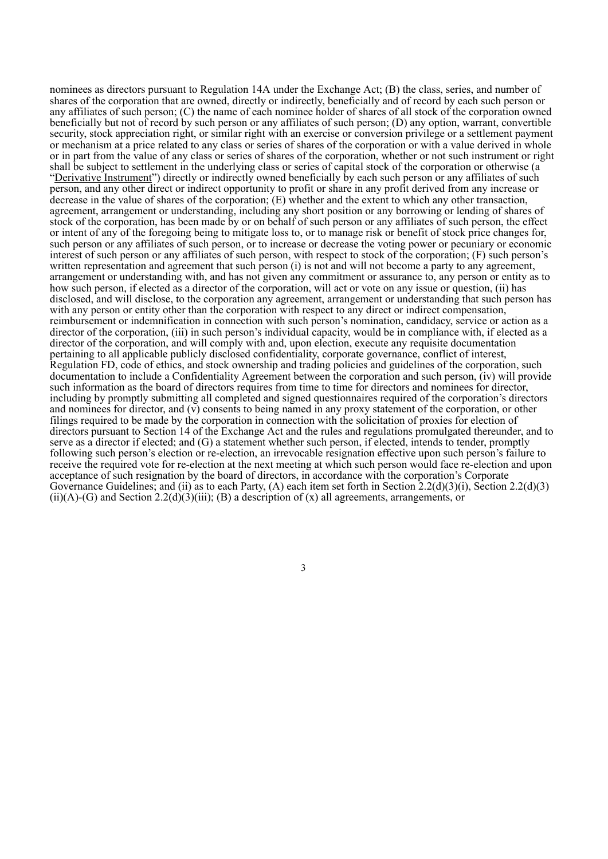nominees as directors pursuant to Regulation 14A under the Exchange Act; (B) the class, series, and number of shares of the corporation that are owned, directly or indirectly, beneficially and of record by each such person or any affiliates of such person; (C) the name of each nominee holder of shares of all stock of the corporation owned beneficially but not of record by such person or any affiliates of such person; (D) any option, warrant, convertible security, stock appreciation right, or similar right with an exercise or conversion privilege or a settlement payment or mechanism at a price related to any class or series of shares of the corporation or with a value derived in whole or in part from the value of any class or series of shares of the corporation, whether or not such instrument or right shall be subject to settlement in the underlying class or series of capital stock of the corporation or otherwise (a "Derivative Instrument") directly or indirectly owned beneficially by each such person or any affiliates of such person, and any other direct or indirect opportunity to profit or share in any profit derived from any increase or decrease in the value of shares of the corporation; (E) whether and the extent to which any other transaction, agreement, arrangement or understanding, including any short position or any borrowing or lending of shares of stock of the corporation, has been made by or on behalf of such person or any affiliates of such person, the effect or intent of any of the foregoing being to mitigate loss to, or to manage risk or benefit of stock price changes for, such person or any affiliates of such person, or to increase or decrease the voting power or pecuniary or economic interest of such person or any affiliates of such person, with respect to stock of the corporation; (F) such person's written representation and agreement that such person (i) is not and will not become a party to any agreement. arrangement or understanding with, and has not given any commitment or assurance to, any person or entity as to how such person, if elected as a director of the corporation, will act or vote on any issue or question, (ii) has disclosed, and will disclose, to the corporation any agreement, arrangement or understanding that such person has with any person or entity other than the corporation with respect to any direct or indirect compensation, reimbursement or indemnification in connection with such person's nomination, candidacy, service or action as a director of the corporation, (iii) in such person's individual capacity, would be in compliance with, if elected as a director of the corporation, and will comply with and, upon election, execute any requisite documentation pertaining to all applicable publicly disclosed confidentiality, corporate governance, conflict of interest, Regulation FD, code of ethics, and stock ownership and trading policies and guidelines of the corporation, such documentation to include a Confidentiality Agreement between the corporation and such person, (iv) will provide such information as the board of directors requires from time to time for directors and nominees for director, including by promptly submitting all completed and signed questionnaires required of the corporation's directors and nominees for director, and (v) consents to being named in any proxy statement of the corporation, or other filings required to be made by the corporation in connection with the solicitation of proxies for election of directors pursuant to Section 14 of the Exchange Act and the rules and regulations promulgated thereunder, and to serve as a director if elected; and (G) a statement whether such person, if elected, intends to tender, promptly following such person's election or re-election, an irrevocable resignation effective upon such person's failure to receive the required vote for re-election at the next meeting at which such person would face re-election and upon acceptance of such resignation by the board of directors, in accordance with the corporation's Corporate Governance Guidelines; and (ii) as to each Party, (A) each item set forth in Section 2.2(d)(3)(i), Section 2.2(d)(3)  $(ii)(A)-(G)$  and Section 2.2(d)(3)(iii); (B) a description of (x) all agreements, arrangements, or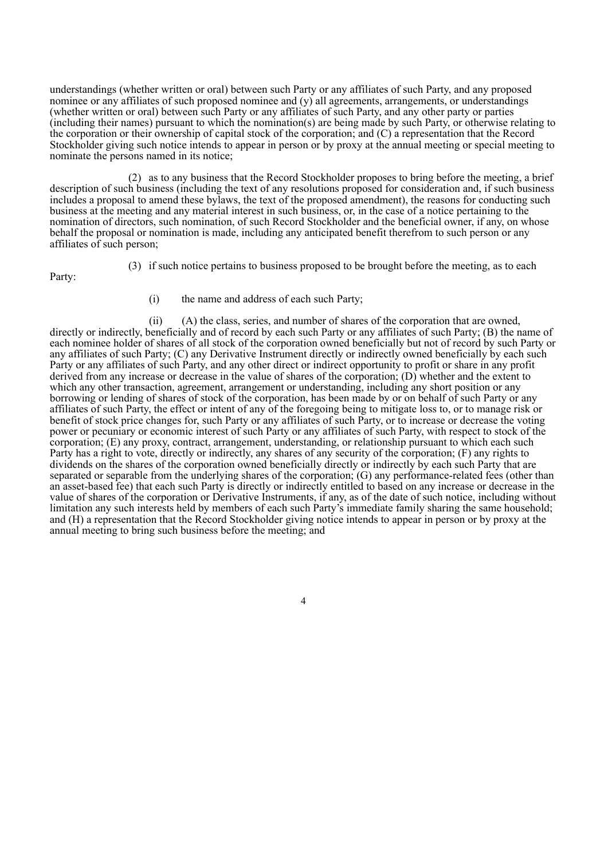understandings (whether written or oral) between such Party or any affiliates of such Party, and any proposed nominee or any affiliates of such proposed nominee and  $(y)$  all agreements, arrangements, or understandings (whether written or oral) between such Party or any affiliates of such Party, and any other party or parties (including their names) pursuant to which the nomination(s) are being made by such Party, or otherwise relating to the corporation or their ownership of capital stock of the corporation; and (C) a representation that the Record Stockholder giving such notice intends to appear in person or by proxy at the annual meeting or special meeting to nominate the persons named in its notice;

(2) as to any business that the Record Stockholder proposes to bring before the meeting, a brief description of such business (including the text of any resolutions proposed for consideration and, if such business includes a proposal to amend these bylaws, the text of the proposed amendment), the reasons for conducting such business at the meeting and any material interest in such business, or, in the case of a notice pertaining to the nomination of directors, such nomination, of such Record Stockholder and the beneficial owner, if any, on whose behalf the proposal or nomination is made, including any anticipated benefit therefrom to such person or any affiliates of such person;

Party:

- (3) if such notice pertains to business proposed to be brought before the meeting, as to each
	- (i) the name and address of each such Party;

(ii) (A) the class, series, and number of shares of the corporation that are owned, directly or indirectly, beneficially and of record by each such Party or any affiliates of such Party; (B) the name of each nominee holder of shares of all stock of the corporation owned beneficially but not of record by such Party or any affiliates of such Party; (C) any Derivative Instrument directly or indirectly owned beneficially by each such Party or any affiliates of such Party, and any other direct or indirect opportunity to profit or share in any profit derived from any increase or decrease in the value of shares of the corporation; (D) whether and the extent to which any other transaction, agreement, arrangement or understanding, including any short position or any borrowing or lending of shares of stock of the corporation, has been made by or on behalf of such Party or any affiliates of such Party, the effect or intent of any of the foregoing being to mitigate loss to, or to manage risk or benefit of stock price changes for, such Party or any affiliates of such Party, or to increase or decrease the voting power or pecuniary or economic interest of such Party or any affiliates of such Party, with respect to stock of the corporation; (E) any proxy, contract, arrangement, understanding, or relationship pursuant to which each such Party has a right to vote, directly or indirectly, any shares of any security of the corporation; (F) any rights to dividends on the shares of the corporation owned beneficially directly or indirectly by each such Party that are separated or separable from the underlying shares of the corporation; (G) any performance-related fees (other than an asset-based fee) that each such Party is directly or indirectly entitled to based on any increase or decrease in the value of shares of the corporation or Derivative Instruments, if any, as of the date of such notice, including without limitation any such interests held by members of each such Party's immediate family sharing the same household; and (H) a representation that the Record Stockholder giving notice intends to appear in person or by proxy at the annual meeting to bring such business before the meeting; and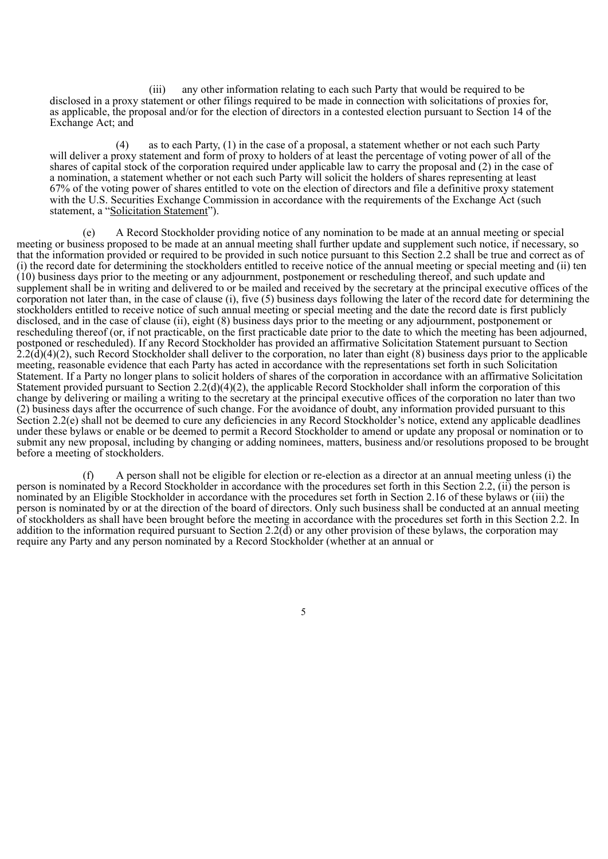(iii) any other information relating to each such Party that would be required to be disclosed in a proxy statement or other filings required to be made in connection with solicitations of proxies for, as applicable, the proposal and/or for the election of directors in a contested election pursuant to Section 14 of the Exchange Act; and

(4) as to each Party, (1) in the case of a proposal, a statement whether or not each such Party will deliver a proxy statement and form of proxy to holders of at least the percentage of voting power of all of the shares of capital stock of the corporation required under applicable law to carry the proposal and (2) in the case of a nomination, a statement whether or not each such Party will solicit the holders of shares representing at least 67% of the voting power of shares entitled to vote on the election of directors and file a definitive proxy statement with the U.S. Securities Exchange Commission in accordance with the requirements of the Exchange Act (such statement, a "Solicitation Statement").

(e) A Record Stockholder providing notice of any nomination to be made at an annual meeting or special meeting or business proposed to be made at an annual meeting shall further update and supplement such notice, if necessary, so that the information provided or required to be provided in such notice pursuant to this Section 2.2 shall be true and correct as of (i) the record date for determining the stockholders entitled to receive notice of the annual meeting or special meeting and (ii) ten (10) business days prior to the meeting or any adjournment, postponement or rescheduling thereof, and such update and supplement shall be in writing and delivered to or be mailed and received by the secretary at the principal executive offices of the corporation not later than, in the case of clause (i), five (5) business days following the later of the record date for determining the stockholders entitled to receive notice of such annual meeting or special meeting and the date the record date is first publicly disclosed, and in the case of clause (ii), eight (8) business days prior to the meeting or any adjournment, postponement or rescheduling thereof (or, if not practicable, on the first practicable date prior to the date to which the meeting has been adjourned, postponed or rescheduled). If any Record Stockholder has provided an affirmative Solicitation Statement pursuant to Section  $2.2(\text{d})(4)(2)$ , such Record Stockholder shall deliver to the corporation, no later than eight (8) business days prior to the applicable meeting, reasonable evidence that each Party has acted in accordance with the representations set forth in such Solicitation Statement. If a Party no longer plans to solicit holders of shares of the corporation in accordance with an affirmative Solicitation Statement provided pursuant to Section 2.2(d)(4)(2), the applicable Record Stockholder shall inform the corporation of this change by delivering or mailing a writing to the secretary at the principal executive offices of the corporation no later than two (2) business days after the occurrence of such change. For the avoidance of doubt, any information provided pursuant to this Section 2.2(e) shall not be deemed to cure any deficiencies in any Record Stockholder's notice, extend any applicable deadlines under these bylaws or enable or be deemed to permit a Record Stockholder to amend or update any proposal or nomination or to submit any new proposal, including by changing or adding nominees, matters, business and/or resolutions proposed to be brought before a meeting of stockholders.

(f) A person shall not be eligible for election or re-election as a director at an annual meeting unless (i) the person is nominated by a Record Stockholder in accordance with the procedures set forth in this Section 2.2, (ii) the person is nominated by an Eligible Stockholder in accordance with the procedures set forth in Section 2.16 of these bylaws or (iii) the person is nominated by or at the direction of the board of directors. Only such business shall be conducted at an annual meeting of stockholders as shall have been brought before the meeting in accordance with the procedures set forth in this Section 2.2. In addition to the information required pursuant to Section 2.2( $\check{d}$ ) or any other provision of these bylaws, the corporation may require any Party and any person nominated by a Record Stockholder (whether at an annual or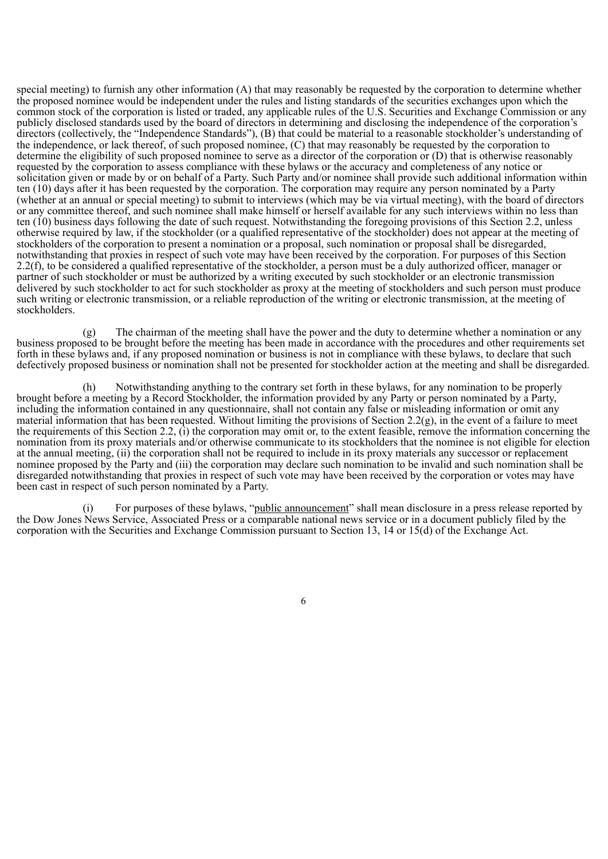special meeting) to furnish any other information (A) that may reasonably be requested by the corporation to determine whether the proposed nominee would be independent under the rules and listing standards of the securities exchanges upon which the common stock of the corporation is listed or traded, any applicable rules of the U.S. Securities and Exchange Commission or any publicly disclosed standards used by the board of directors in determining and disclosing the independence of the corporation's directors (collectively, the "Independence Standards"), (B) that could be material to a reasonable stockholder's understanding of the independence, or lack thereof, of such proposed nominee, (C) that may reasonably be requested by the corporation to determine the eligibility of such proposed nominee to serve as a director of the corporation or (D) that is otherwise reasonably requested by the corporation to assess compliance with these bylaws or the accuracy and completeness of any notice or solicitation given or made by or on behalf of a Party. Such Party and/or nominee shall provide such additional information within ten (10) days after it has been requested by the corporation. The corporation may require any person nominated by a Party (whether at an annual or special meeting) to submit to interviews (which may be via virtual meeting), with the board of directors or any committee thereof, and such nominee shall make himself or herself available for any such interviews within no less than ten (10) business days following the date of such request. Notwithstanding the foregoing provisions of this Section 2.2, unless otherwise required by law, if the stockholder (or a qualified representative of the stockholder) does not appear at the meeting of stockholders of the corporation to present a nomination or a proposal, such nomination or proposal shall be disregarded, notwithstanding that proxies in respect of such vote may have been received by the corporation. For purposes of this Section 2.2(f), to be considered a qualified representative of the stockholder, a person must be a duly authorized officer, manager or partner of such stockholder or must be authorized by a writing executed by such stockholder or an electronic transmission delivered by such stockholder to act for such stockholder as proxy at the meeting of stockholders and such person must produce such writing or electronic transmission, or a reliable reproduction of the writing or electronic transmission, at the meeting of stockholders.

(g) The chairman of the meeting shall have the power and the duty to determine whether a nomination or any business proposed to be brought before the meeting has been made in accordance with the procedures and other requirements set forth in these bylaws and, if any proposed nomination or business is not in compliance with these bylaws, to declare that such defectively proposed business or nomination shall not be presented for stockholder action at the meeting and shall be disregarded.

(h) Notwithstanding anything to the contrary set forth in these bylaws, for any nomination to be properly brought before a meeting by a Record Stockholder, the information provided by any Party or person nominated by a Party, including the information contained in any questionnaire, shall not contain any false or misleading information or omit any material information that has been requested. Without limiting the provisions of Section 2.2(g), in the event of a failure to meet the requirements of this Section 2.2, (i) the corporation may omit or, to the extent feasible, remove the information concerning the nomination from its proxy materials and/or otherwise communicate to its stockholders that the nominee is not eligible for election at the annual meeting, (ii) the corporation shall not be required to include in its proxy materials any successor or replacement nominee proposed by the Party and (iii) the corporation may declare such nomination to be invalid and such nomination shall be disregarded notwithstanding that proxies in respect of such vote may have been received by the corporation or votes may have been cast in respect of such person nominated by a Party.

(i) For purposes of these bylaws, "public announcement" shall mean disclosure in a press release reported by the Dow Jones News Service, Associated Press or a comparable national news service or in a document publicly filed by the corporation with the Securities and Exchange Commission pursuant to Section 13, 14 or 15(d) of the Exchange Act.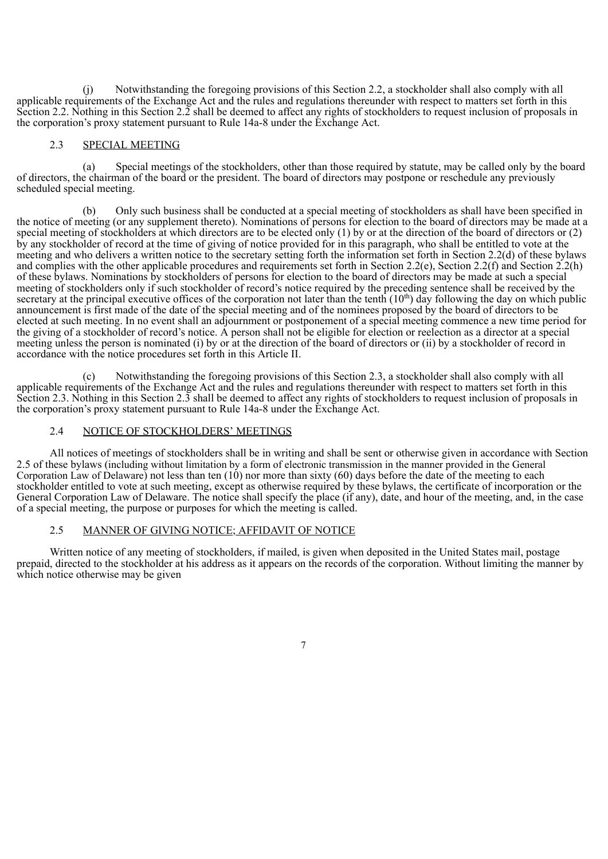(j) Notwithstanding the foregoing provisions of this Section 2.2, a stockholder shall also comply with all applicable requirements of the Exchange Act and the rules and regulations thereunder with respect to matters set forth in this Section 2.2. Nothing in this Section 2.2 shall be deemed to affect any rights of stockholders to request inclusion of proposals in the corporation's proxy statement pursuant to Rule 14a-8 under the Exchange Act.

#### 2.3 SPECIAL MEETING

(a) Special meetings of the stockholders, other than those required by statute, may be called only by the board of directors, the chairman of the board or the president. The board of directors may postpone or reschedule any previously scheduled special meeting.

(b) Only such business shall be conducted at a special meeting of stockholders as shall have been specified in the notice of meeting (or any supplement thereto). Nominations of persons for election to the board of directors may be made at a special meeting of stockholders at which directors are to be elected only (1) by or at the direction of the board of directors or (2) by any stockholder of record at the time of giving of notice provided for in this paragraph, who shall be entitled to vote at the meeting and who delivers a written notice to the secretary setting forth the information set forth in Section 2.2(d) of these bylaws and complies with the other applicable procedures and requirements set forth in Section 2.2(e), Section 2.2(f) and Section 2.2(h) of these bylaws. Nominations by stockholders of persons for election to the board of directors may be made at such a special meeting of stockholders only if such stockholder of record's notice required by the preceding sentence shall be received by the secretary at the principal executive offices of the corporation not later than the tenth  $(10<sup>th</sup>)$  day following the day on which public announcement is first made of the date of the special meeting and of the nominees proposed by the board of directors to be elected at such meeting. In no event shall an adjournment or postponement of a special meeting commence a new time period for the giving of a stockholder of record's notice. A person shall not be eligible for election or reelection as a director at a special meeting unless the person is nominated (i) by or at the direction of the board of directors or (ii) by a stockholder of record in accordance with the notice procedures set forth in this Article II.

(c) Notwithstanding the foregoing provisions of this Section 2.3, a stockholder shall also comply with all applicable requirements of the Exchange Act and the rules and regulations thereunder with respect to matters set forth in this Section 2.3. Nothing in this Section 2.3 shall be deemed to affect any rights of stockholders to request inclusion of proposals in the corporation's proxy statement pursuant to Rule 14a-8 under the Exchange Act.

## 2.4 NOTICE OF STOCKHOLDERS' MEETINGS

All notices of meetings of stockholders shall be in writing and shall be sent or otherwise given in accordance with Section 2.5 of these bylaws (including without limitation by a form of electronic transmission in the manner provided in the General Corporation Law of Delaware) not less than ten  $(10)$  nor more than sixty  $(60)$  days before the date of the meeting to each stockholder entitled to vote at such meeting, except as otherwise required by these bylaws, the certificate of incorporation or the General Corporation Law of Delaware. The notice shall specify the place (if any), date, and hour of the meeting, and, in the case of a special meeting, the purpose or purposes for which the meeting is called.

## 2.5 MANNER OF GIVING NOTICE; AFFIDAVIT OF NOTICE

Written notice of any meeting of stockholders, if mailed, is given when deposited in the United States mail, postage prepaid, directed to the stockholder at his address as it appears on the records of the corporation. Without limiting the manner by which notice otherwise may be given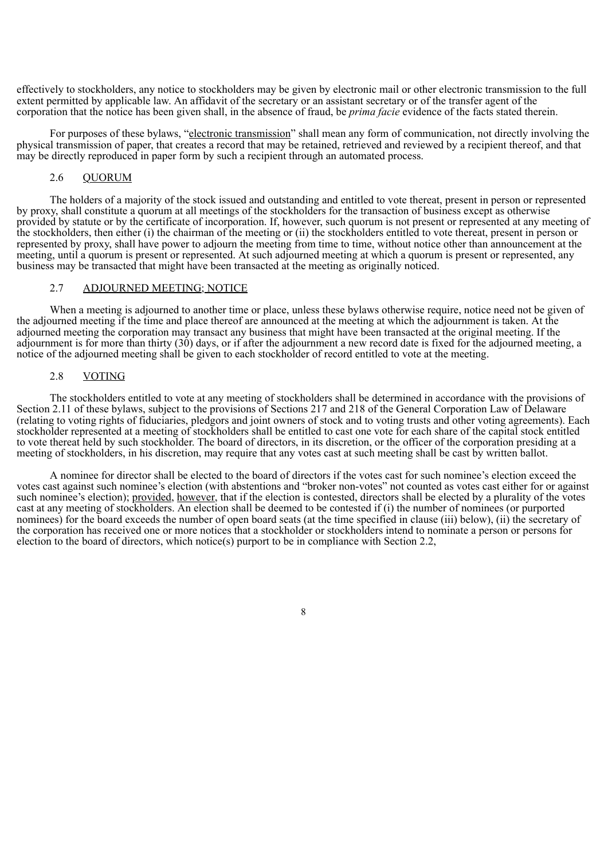effectively to stockholders, any notice to stockholders may be given by electronic mail or other electronic transmission to the full extent permitted by applicable law. An affidavit of the secretary or an assistant secretary or of the transfer agent of the corporation that the notice has been given shall, in the absence of fraud, be *prima facie* evidence of the facts stated therein.

For purposes of these bylaws, "electronic transmission" shall mean any form of communication, not directly involving the physical transmission of paper, that creates a record that may be retained, retrieved and reviewed by a recipient thereof, and that may be directly reproduced in paper form by such a recipient through an automated process.

### 2.6 QUORUM

The holders of a majority of the stock issued and outstanding and entitled to vote thereat, present in person or represented by proxy, shall constitute a quorum at all meetings of the stockholders for the transaction of business except as otherwise provided by statute or by the certificate of incorporation. If, however, such quorum is not present or represented at any meeting of the stockholders, then either (i) the chairman of the meeting or (ii) the stockholders entitled to vote thereat, present in person or represented by proxy, shall have power to adjourn the meeting from time to time, without notice other than announcement at the meeting, until a quorum is present or represented. At such adjourned meeting at which a quorum is present or represented, any business may be transacted that might have been transacted at the meeting as originally noticed.

#### 2.7 ADJOURNED MEETING; NOTICE

When a meeting is adjourned to another time or place, unless these bylaws otherwise require, notice need not be given of the adjourned meeting if the time and place thereof are announced at the meeting at which the adjournment is taken. At the adjourned meeting the corporation may transact any business that might have been transacted at the original meeting. If the adjournment is for more than thirty (30) days, or if after the adjournment a new record date is fixed for the adjourned meeting, a notice of the adjourned meeting shall be given to each stockholder of record entitled to vote at the meeting.

#### 2.8 VOTING

The stockholders entitled to vote at any meeting of stockholders shall be determined in accordance with the provisions of Section 2.11 of these bylaws, subject to the provisions of Sections 217 and 218 of the General Corporation Law of Delaware (relating to voting rights of fiduciaries, pledgors and joint owners of stock and to voting trusts and other voting agreements). Each stockholder represented at a meeting of stockholders shall be entitled to cast one vote for each share of the capital stock entitled to vote thereat held by such stockholder. The board of directors, in its discretion, or the officer of the corporation presiding at a meeting of stockholders, in his discretion, may require that any votes cast at such meeting shall be cast by written ballot.

A nominee for director shall be elected to the board of directors if the votes cast for such nominee's election exceed the votes cast against such nominee's election (with abstentions and "broker non-votes" not counted as votes cast either for or against such nominee's election); provided, however, that if the election is contested, directors shall be elected by a plurality of the votes cast at any meeting of stockholders. An election shall be deemed to be contested if (i) the number of nominees (or purported nominees) for the board exceeds the number of open board seats (at the time specified in clause (iii) below), (ii) the secretary of the corporation has received one or more notices that a stockholder or stockholders intend to nominate a person or persons for election to the board of directors, which notice(s) purport to be in compliance with Section 2.2,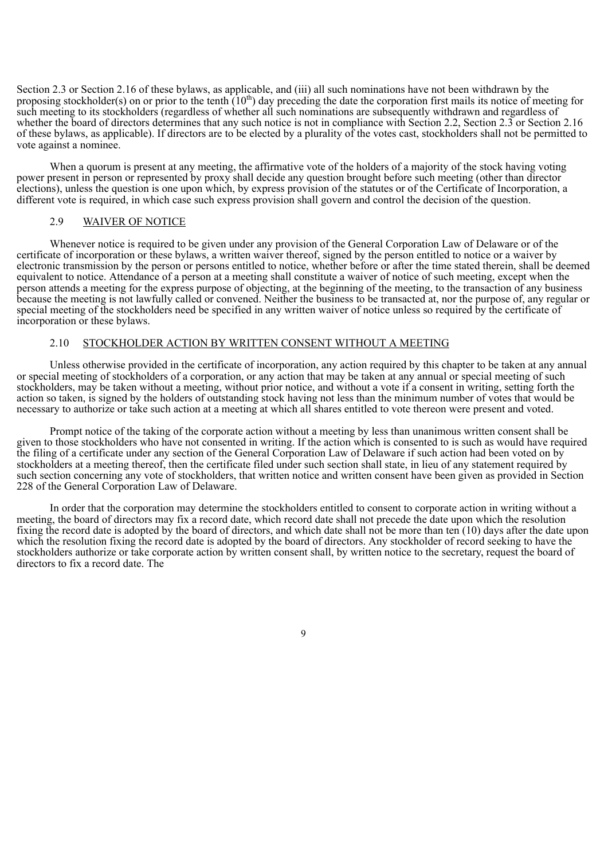Section 2.3 or Section 2.16 of these bylaws, as applicable, and (iii) all such nominations have not been withdrawn by the proposing stockholder(s) on or prior to the tenth  $(10<sup>th</sup>)$  day preceding the date the corporation first mails its notice of meeting for such meeting to its stockholders (regardless of whether all such nominations are subsequently withdrawn and regardless of whether the board of directors determines that any such notice is not in compliance with Section 2.2, Section 2.3 or Section 2.16 of these bylaws, as applicable). If directors are to be elected by a plurality of the votes cast, stockholders shall not be permitted to vote against a nominee.

When a quorum is present at any meeting, the affirmative vote of the holders of a majority of the stock having voting power present in person or represented by proxy shall decide any question brought before such meeting (other than director elections), unless the question is one upon which, by express provision of the statutes or of the Certificate of Incorporation, a different vote is required, in which case such express provision shall govern and control the decision of the question.

#### 2.9 WAIVER OF NOTICE

Whenever notice is required to be given under any provision of the General Corporation Law of Delaware or of the certificate of incorporation or these bylaws, a written waiver thereof, signed by the person entitled to notice or a waiver by electronic transmission by the person or persons entitled to notice, whether before or after the time stated therein, shall be deemed equivalent to notice. Attendance of a person at a meeting shall constitute a waiver of notice of such meeting, except when the person attends a meeting for the express purpose of objecting, at the beginning of the meeting, to the transaction of any business because the meeting is not lawfully called or convened. Neither the business to be transacted at, nor the purpose of, any regular or special meeting of the stockholders need be specified in any written waiver of notice unless so required by the certificate of incorporation or these bylaws.

## 2.10 STOCKHOLDER ACTION BY WRITTEN CONSENT WITHOUT A MEETING

Unless otherwise provided in the certificate of incorporation, any action required by this chapter to be taken at any annual or special meeting of stockholders of a corporation, or any action that may be taken at any annual or special meeting of such stockholders, may be taken without a meeting, without prior notice, and without a vote if a consent in writing, setting forth the action so taken, is signed by the holders of outstanding stock having not less than the minimum number of votes that would be necessary to authorize or take such action at a meeting at which all shares entitled to vote thereon were present and voted.

Prompt notice of the taking of the corporate action without a meeting by less than unanimous written consent shall be given to those stockholders who have not consented in writing. If the action which is consented to is such as would have required the filing of a certificate under any section of the General Corporation Law of Delaware if such action had been voted on by stockholders at a meeting thereof, then the certificate filed under such section shall state, in lieu of any statement required by such section concerning any vote of stockholders, that written notice and written consent have been given as provided in Section 228 of the General Corporation Law of Delaware.

In order that the corporation may determine the stockholders entitled to consent to corporate action in writing without a meeting, the board of directors may fix a record date, which record date shall not precede the date upon which the resolution fixing the record date is adopted by the board of directors, and which date shall not be more than ten (10) days after the date upon which the resolution fixing the record date is adopted by the board of directors. Any stockholder of record seeking to have the stockholders authorize or take corporate action by written consent shall, by written notice to the secretary, request the board of directors to fix a record date. The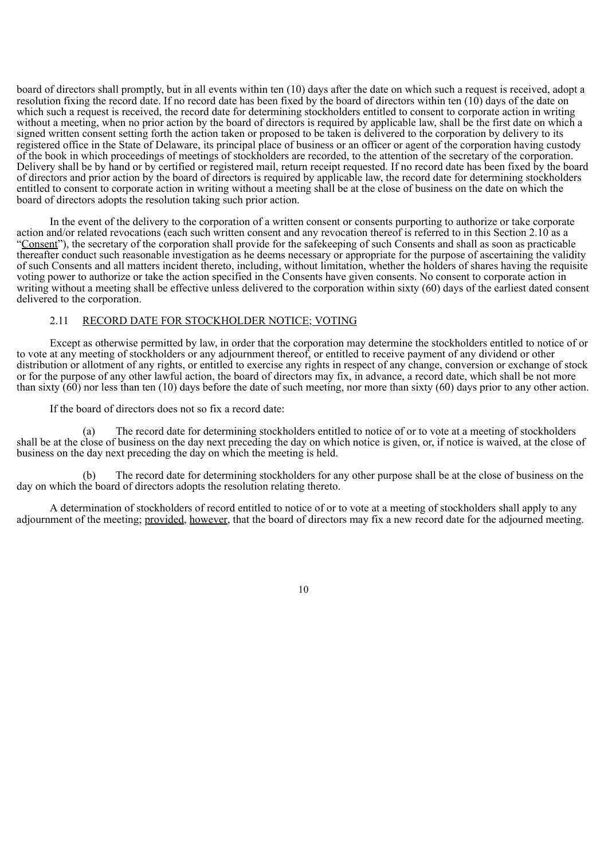board of directors shall promptly, but in all events within ten (10) days after the date on which such a request is received, adopt a resolution fixing the record date. If no record date has been fixed by the board of directors within ten (10) days of the date on which such a request is received, the record date for determining stockholders entitled to consent to corporate action in writing without a meeting, when no prior action by the board of directors is required by applicable law, shall be the first date on which a signed written consent setting forth the action taken or proposed to be taken is delivered to the corporation by delivery to its registered office in the State of Delaware, its principal place of business or an officer or agent of the corporation having custody of the book in which proceedings of meetings of stockholders are recorded, to the attention of the secretary of the corporation. Delivery shall be by hand or by certified or registered mail, return receipt requested. If no record date has been fixed by the board of directors and prior action by the board of directors is required by applicable law, the record date for determining stockholders entitled to consent to corporate action in writing without a meeting shall be at the close of business on the date on which the board of directors adopts the resolution taking such prior action.

In the event of the delivery to the corporation of a written consent or consents purporting to authorize or take corporate action and/or related revocations (each such written consent and any revocation thereof is referred to in this Section 2.10 as a "Consent"), the secretary of the corporation shall provide for the safekeeping of such Consents and shall as soon as practicable thereafter conduct such reasonable investigation as he deems necessary or appropriate for the purpose of ascertaining the validity of such Consents and all matters incident thereto, including, without limitation, whether the holders of shares having the requisite voting power to authorize or take the action specified in the Consents have given consents. No consent to corporate action in writing without a meeting shall be effective unless delivered to the corporation within sixty (60) days of the earliest dated consent delivered to the corporation.

#### 2.11 RECORD DATE FOR STOCKHOLDER NOTICE; VOTING

Except as otherwise permitted by law, in order that the corporation may determine the stockholders entitled to notice of or to vote at any meeting of stockholders or any adjournment thereof, or entitled to receive payment of any dividend or other distribution or allotment of any rights, or entitled to exercise any rights in respect of any change, conversion or exchange of stock or for the purpose of any other lawful action, the board of directors may fix, in advance, a record date, which shall be not more than sixty  $(60)$  nor less than ten (10) days before the date of such meeting, nor more than sixty (60) days prior to any other action.

If the board of directors does not so fix a record date:

(a) The record date for determining stockholders entitled to notice of or to vote at a meeting of stockholders shall be at the close of business on the day next preceding the day on which notice is given, or, if notice is waived, at the close of business on the day next preceding the day on which the meeting is held.

(b) The record date for determining stockholders for any other purpose shall be at the close of business on the day on which the board of directors adopts the resolution relating thereto.

A determination of stockholders of record entitled to notice of or to vote at a meeting of stockholders shall apply to any adjournment of the meeting; provided, however, that the board of directors may fix a new record date for the adjourned meeting.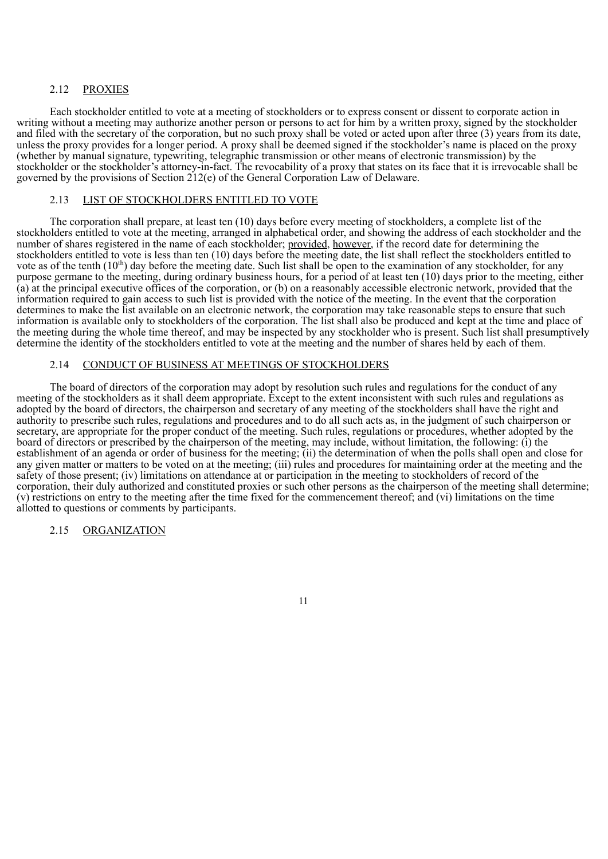## 2.12 PROXIES

Each stockholder entitled to vote at a meeting of stockholders or to express consent or dissent to corporate action in writing without a meeting may authorize another person or persons to act for him by a written proxy, signed by the stockholder and filed with the secretary of the corporation, but no such proxy shall be voted or acted upon after three (3) years from its date, unless the proxy provides for a longer period. A proxy shall be deemed signed if the stockholder's name is placed on the proxy (whether by manual signature, typewriting, telegraphic transmission or other means of electronic transmission) by the stockholder or the stockholder's attorney-in-fact. The revocability of a proxy that states on its face that it is irrevocable shall be governed by the provisions of Section 212(e) of the General Corporation Law of Delaware.

## 2.13 LIST OF STOCKHOLDERS ENTITLED TO VOTE

The corporation shall prepare, at least ten (10) days before every meeting of stockholders, a complete list of the stockholders entitled to vote at the meeting, arranged in alphabetical order, and showing the address of each stockholder and the number of shares registered in the name of each stockholder; provided, however, if the record date for determining the stockholders entitled to vote is less than ten (10) days before the meeting date, the list shall reflect the stockholders entitled to vote as of the tenth  $(10<sup>th</sup>)$  day before the meeting date. Such list shall be open to the examination of any stockholder, for any purpose germane to the meeting, during ordinary business hours, for a period of at least ten (10) days prior to the meeting, either (a) at the principal executive offices of the corporation, or (b) on a reasonably accessible electronic network, provided that the information required to gain access to such list is provided with the notice of the meeting. In the event that the corporation determines to make the list available on an electronic network, the corporation may take reasonable steps to ensure that such information is available only to stockholders of the corporation. The list shall also be produced and kept at the time and place of the meeting during the whole time thereof, and may be inspected by any stockholder who is present. Such list shall presumptively determine the identity of the stockholders entitled to vote at the meeting and the number of shares held by each of them.

#### 2.14 CONDUCT OF BUSINESS AT MEETINGS OF STOCKHOLDERS

The board of directors of the corporation may adopt by resolution such rules and regulations for the conduct of any meeting of the stockholders as it shall deem appropriate. Except to the extent inconsistent with such rules and regulations as adopted by the board of directors, the chairperson and secretary of any meeting of the stockholders shall have the right and authority to prescribe such rules, regulations and procedures and to do all such acts as, in the judgment of such chairperson or secretary, are appropriate for the proper conduct of the meeting. Such rules, regulations or procedures, whether adopted by the board of directors or prescribed by the chairperson of the meeting, may include, without limitation, the following: (i) the establishment of an agenda or order of business for the meeting; (ii) the determination of when the polls shall open and close for any given matter or matters to be voted on at the meeting; (iii) rules and procedures for maintaining order at the meeting and the safety of those present; (iv) limitations on attendance at or participation in the meeting to stockholders of record of the corporation, their duly authorized and constituted proxies or such other persons as the chairperson of the meeting shall determine; (v) restrictions on entry to the meeting after the time fixed for the commencement thereof; and (vi) limitations on the time allotted to questions or comments by participants.

#### 2.15 ORGANIZATION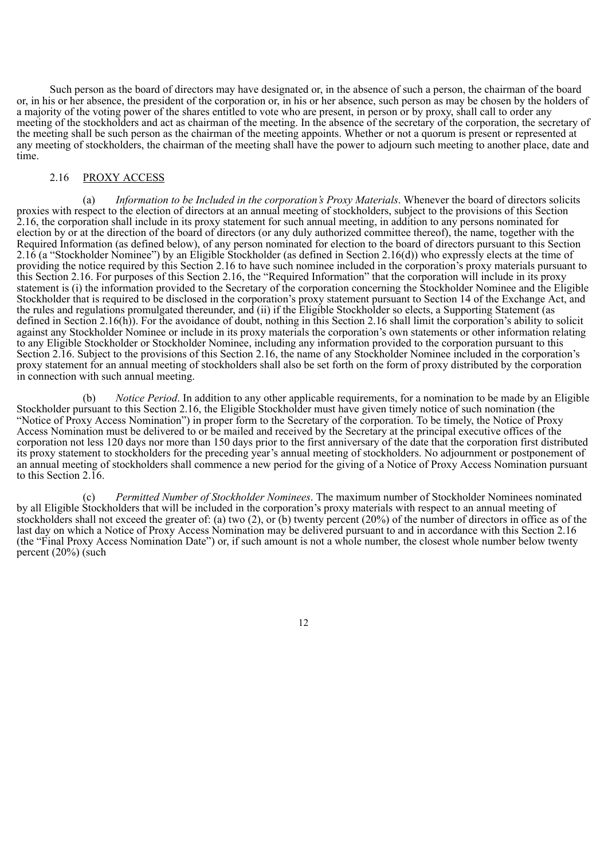Such person as the board of directors may have designated or, in the absence of such a person, the chairman of the board or, in his or her absence, the president of the corporation or, in his or her absence, such person as may be chosen by the holders of a majority of the voting power of the shares entitled to vote who are present, in person or by proxy, shall call to order any meeting of the stockholders and act as chairman of the meeting. In the absence of the secretary of the corporation, the secretary of the meeting shall be such person as the chairman of the meeting appoints. Whether or not a quorum is present or represented at any meeting of stockholders, the chairman of the meeting shall have the power to adjourn such meeting to another place, date and time.

## 2.16 PROXY ACCESS

(a) *Information to be Included in the corporation's Proxy Materials*. Whenever the board of directors solicits proxies with respect to the election of directors at an annual meeting of stockholders, subject to the provisions of this Section 2.16, the corporation shall include in its proxy statement for such annual meeting, in addition to any persons nominated for election by or at the direction of the board of directors (or any duly authorized committee thereof), the name, together with the Required Information (as defined below), of any person nominated for election to the board of directors pursuant to this Section 2.16 (a "Stockholder Nominee") by an Eligible Stockholder (as defined in Section 2.16(d)) who expressly elects at the time of providing the notice required by this Section 2.16 to have such nominee included in the corporation's proxy materials pursuant to this Section 2.16. For purposes of this Section 2.16, the "Required Information" that the corporation will include in its proxy statement is (i) the information provided to the Secretary of the corporation concerning the Stockholder Nominee and the Eligible Stockholder that is required to be disclosed in the corporation's proxy statement pursuant to Section 14 of the Exchange Act, and the rules and regulations promulgated thereunder, and (ii) if the Eligible Stockholder so elects, a Supporting Statement (as defined in Section 2.16(h)). For the avoidance of doubt, nothing in this Section 2.16 shall limit the corporation's ability to solicit against any Stockholder Nominee or include in its proxy materials the corporation's own statements or other information relating to any Eligible Stockholder or Stockholder Nominee, including any information provided to the corporation pursuant to this Section 2.16. Subject to the provisions of this Section 2.16, the name of any Stockholder Nominee included in the corporation's proxy statement for an annual meeting of stockholders shall also be set forth on the form of proxy distributed by the corporation in connection with such annual meeting.

(b) *Notice Period*. In addition to any other applicable requirements, for a nomination to be made by an Eligible Stockholder pursuant to this Section 2.16, the Eligible Stockholder must have given timely notice of such nomination (the "Notice of Proxy Access Nomination") in proper form to the Secretary of the corporation. To be timely, the Notice of Proxy Access Nomination must be delivered to or be mailed and received by the Secretary at the principal executive offices of the corporation not less 120 days nor more than 150 days prior to the first anniversary of the date that the corporation first distributed its proxy statement to stockholders for the preceding year's annual meeting of stockholders. No adjournment or postponement of an annual meeting of stockholders shall commence a new period for the giving of a Notice of Proxy Access Nomination pursuant to this Section 2.16.

(c) *Permitted Number of Stockholder Nominees*. The maximum number of Stockholder Nominees nominated by all Eligible Stockholders that will be included in the corporation's proxy materials with respect to an annual meeting of stockholders shall not exceed the greater of: (a) two (2), or (b) twenty percent (20%) of the number of directors in office as of the last day on which a Notice of Proxy Access Nomination may be delivered pursuant to and in accordance with this Section 2.16 (the "Final Proxy Access Nomination Date") or, if such amount is not a whole number, the closest whole number below twenty percent (20%) (such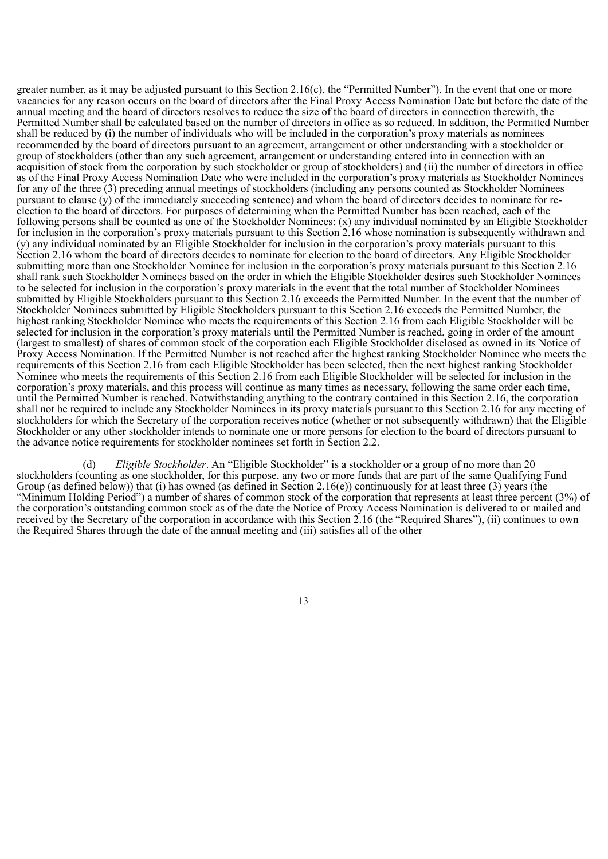greater number, as it may be adjusted pursuant to this Section 2.16(c), the "Permitted Number"). In the event that one or more vacancies for any reason occurs on the board of directors after the Final Proxy Access Nomination Date but before the date of the annual meeting and the board of directors resolves to reduce the size of the board of directors in connection therewith, the Permitted Number shall be calculated based on the number of directors in office as so reduced. In addition, the Permitted Number shall be reduced by (i) the number of individuals who will be included in the corporation's proxy materials as nominees recommended by the board of directors pursuant to an agreement, arrangement or other understanding with a stockholder or group of stockholders (other than any such agreement, arrangement or understanding entered into in connection with an acquisition of stock from the corporation by such stockholder or group of stockholders) and (ii) the number of directors in office as of the Final Proxy Access Nomination Date who were included in the corporation's proxy materials as Stockholder Nominees for any of the three (3) preceding annual meetings of stockholders (including any persons counted as Stockholder Nominees pursuant to clause (y) of the immediately succeeding sentence) and whom the board of directors decides to nominate for reelection to the board of directors. For purposes of determining when the Permitted Number has been reached, each of the following persons shall be counted as one of the Stockholder Nominees: (x) any individual nominated by an Eligible Stockholder for inclusion in the corporation's proxy materials pursuant to this Section 2.16 whose nomination is subsequently withdrawn and (y) any individual nominated by an Eligible Stockholder for inclusion in the corporation's proxy materials pursuant to this Section 2.16 whom the board of directors decides to nominate for election to the board of directors. Any Eligible Stockholder submitting more than one Stockholder Nominee for inclusion in the corporation's proxy materials pursuant to this Section 2.16 shall rank such Stockholder Nominees based on the order in which the Eligible Stockholder desires such Stockholder Nominees to be selected for inclusion in the corporation's proxy materials in the event that the total number of Stockholder Nominees submitted by Eligible Stockholders pursuant to this Section 2.16 exceeds the Permitted Number. In the event that the number of Stockholder Nominees submitted by Eligible Stockholders pursuant to this Section 2.16 exceeds the Permitted Number, the highest ranking Stockholder Nominee who meets the requirements of this Section 2.16 from each Eligible Stockholder will be selected for inclusion in the corporation's proxy materials until the Permitted Number is reached, going in order of the amount (largest to smallest) of shares of common stock of the corporation each Eligible Stockholder disclosed as owned in its Notice of Proxy Access Nomination. If the Permitted Number is not reached after the highest ranking Stockholder Nominee who meets the requirements of this Section 2.16 from each Eligible Stockholder has been selected, then the next highest ranking Stockholder Nominee who meets the requirements of this Section 2.16 from each Eligible Stockholder will be selected for inclusion in the corporation's proxy materials, and this process will continue as many times as necessary, following the same order each time, until the Permitted Number is reached. Notwithstanding anything to the contrary contained in this Section 2.16, the corporation shall not be required to include any Stockholder Nominees in its proxy materials pursuant to this Section 2.16 for any meeting of stockholders for which the Secretary of the corporation receives notice (whether or not subsequently withdrawn) that the Eligible Stockholder or any other stockholder intends to nominate one or more persons for election to the board of directors pursuant to the advance notice requirements for stockholder nominees set forth in Section 2.2.

(d) *Eligible Stockholder*. An "Eligible Stockholder" is a stockholder or a group of no more than 20 stockholders (counting as one stockholder, for this purpose, any two or more funds that are part of the same Qualifying Fund Group (as defined below)) that (i) has owned (as defined in Section 2.16(e)) continuously for at least three (3) years (the "Minimum Holding Period") a number of shares of common stock of the corporation that represents at least three percent (3%) of the corporation's outstanding common stock as of the date the Notice of Proxy Access Nomination is delivered to or mailed and received by the Secretary of the corporation in accordance with this Section 2.16 (the "Required Shares"), (ii) continues to own the Required Shares through the date of the annual meeting and (iii) satisfies all of the other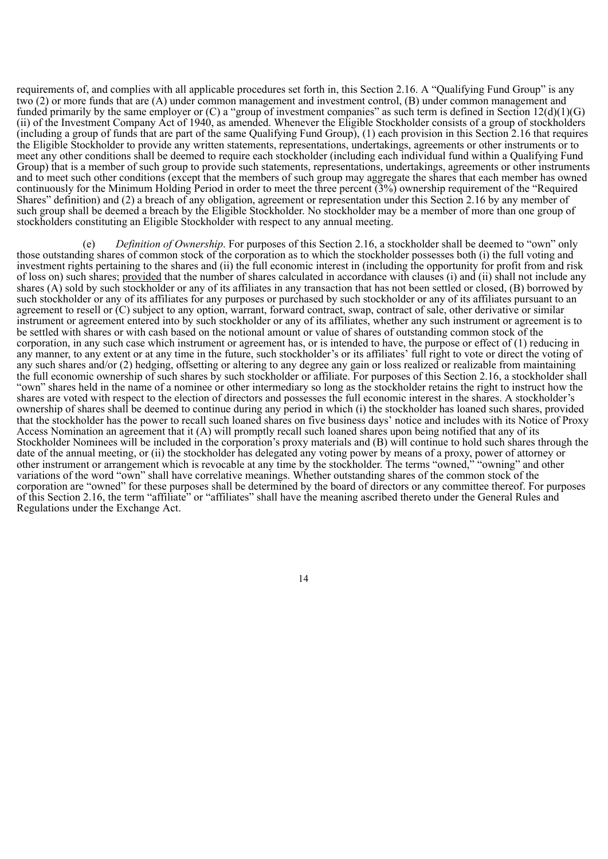requirements of, and complies with all applicable procedures set forth in, this Section 2.16. A "Qualifying Fund Group" is any two (2) or more funds that are (A) under common management and investment control, (B) under common management and funded primarily by the same employer or  $(C)$  a "group of investment companies" as such term is defined in Section 12(d)(1)(G) (ii) of the Investment Company Act of 1940, as amended. Whenever the Eligible Stockholder consists of a group of stockholders (including a group of funds that are part of the same Qualifying Fund Group), (1) each provision in this Section 2.16 that requires the Eligible Stockholder to provide any written statements, representations, undertakings, agreements or other instruments or to meet any other conditions shall be deemed to require each stockholder (including each individual fund within a Qualifying Fund Group) that is a member of such group to provide such statements, representations, undertakings, agreements or other instruments and to meet such other conditions (except that the members of such group may aggregate the shares that each member has owned continuously for the Minimum Holding Period in order to meet the three percent (3%) ownership requirement of the "Required Shares" definition) and (2) a breach of any obligation, agreement or representation under this Section 2.16 by any member of such group shall be deemed a breach by the Eligible Stockholder. No stockholder may be a member of more than one group of stockholders constituting an Eligible Stockholder with respect to any annual meeting.

(e) *Definition of Ownership*. For purposes of this Section 2.16, a stockholder shall be deemed to "own" only those outstanding shares of common stock of the corporation as to which the stockholder possesses both (i) the full voting and investment rights pertaining to the shares and (ii) the full economic interest in (including the opportunity for profit from and risk of loss on) such shares; provided that the number of shares calculated in accordance with clauses (i) and (ii) shall not include any shares (A) sold by such stockholder or any of its affiliates in any transaction that has not been settled or closed, (B) borrowed by such stockholder or any of its affiliates for any purposes or purchased by such stockholder or any of its affiliates pursuant to an agreement to resell or (C) subject to any option, warrant, forward contract, swap, contract of sale, other derivative or similar instrument or agreement entered into by such stockholder or any of its affiliates, whether any such instrument or agreement is to be settled with shares or with cash based on the notional amount or value of shares of outstanding common stock of the corporation, in any such case which instrument or agreement has, or is intended to have, the purpose or effect of (1) reducing in any manner, to any extent or at any time in the future, such stockholder's or its affiliates' full right to vote or direct the voting of any such shares and/or (2) hedging, offsetting or altering to any degree any gain or loss realized or realizable from maintaining the full economic ownership of such shares by such stockholder or affiliate. For purposes of this Section 2.16, a stockholder shall "own" shares held in the name of a nominee or other intermediary so long as the stockholder retains the right to instruct how the shares are voted with respect to the election of directors and possesses the full economic interest in the shares. A stockholder's ownership of shares shall be deemed to continue during any period in which (i) the stockholder has loaned such shares, provided that the stockholder has the power to recall such loaned shares on five business days' notice and includes with its Notice of Proxy Access Nomination an agreement that it (A) will promptly recall such loaned shares upon being notified that any of its Stockholder Nominees will be included in the corporation's proxy materials and (B) will continue to hold such shares through the date of the annual meeting, or (ii) the stockholder has delegated any voting power by means of a proxy, power of attorney or other instrument or arrangement which is revocable at any time by the stockholder. The terms "owned," "owning" and other variations of the word "own" shall have correlative meanings. Whether outstanding shares of the common stock of the corporation are "owned" for these purposes shall be determined by the board of directors or any committee thereof. For purposes of this Section 2.16, the term "affiliate" or "affiliates" shall have the meaning ascribed thereto under the General Rules and Regulations under the Exchange Act.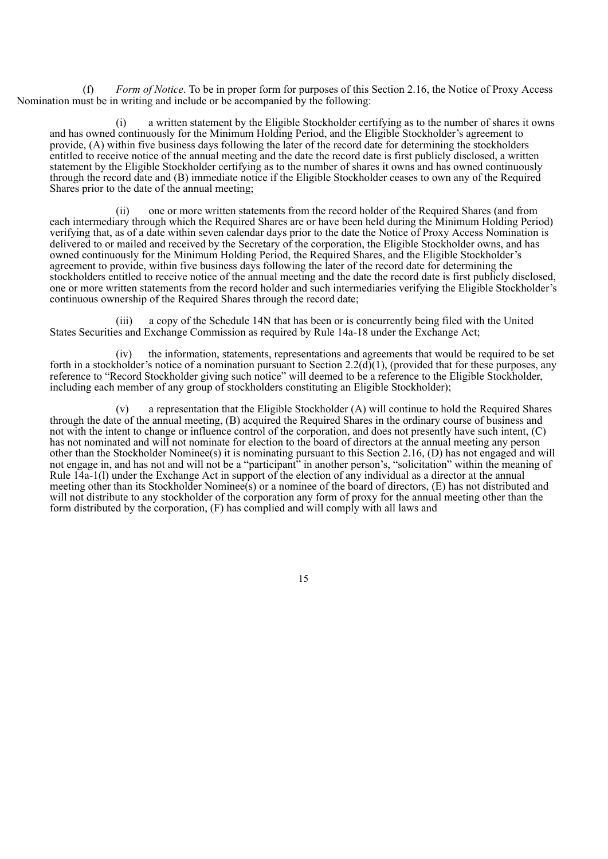(f) *Form of Notice*. To be in proper form for purposes of this Section 2.16, the Notice of Proxy Access Nomination must be in writing and include or be accompanied by the following:

(i) a written statement by the Eligible Stockholder certifying as to the number of shares it owns and has owned continuously for the Minimum Holding Period, and the Eligible Stockholder's agreement to provide, (A) within five business days following the later of the record date for determining the stockholders entitled to receive notice of the annual meeting and the date the record date is first publicly disclosed, a written statement by the Eligible Stockholder certifying as to the number of shares it owns and has owned continuously through the record date and (B) immediate notice if the Eligible Stockholder ceases to own any of the Required Shares prior to the date of the annual meeting;

(ii) one or more written statements from the record holder of the Required Shares (and from each intermediary through which the Required Shares are or have been held during the Minimum Holding Period) verifying that, as of a date within seven calendar days prior to the date the Notice of Proxy Access Nomination is delivered to or mailed and received by the Secretary of the corporation, the Eligible Stockholder owns, and has owned continuously for the Minimum Holding Period, the Required Shares, and the Eligible Stockholder's agreement to provide, within five business days following the later of the record date for determining the stockholders entitled to receive notice of the annual meeting and the date the record date is first publicly disclosed, one or more written statements from the record holder and such intermediaries verifying the Eligible Stockholder's continuous ownership of the Required Shares through the record date;

(iii) a copy of the Schedule 14N that has been or is concurrently being filed with the United States Securities and Exchange Commission as required by Rule 14a-18 under the Exchange Act;

(iv) the information, statements, representations and agreements that would be required to be set forth in a stockholder's notice of a nomination pursuant to Section 2.2( $d$ )(1), (provided that for these purposes, any reference to "Record Stockholder giving such notice" will deemed to be a reference to the Eligible Stockholder, including each member of any group of stockholders constituting an Eligible Stockholder);

(v) a representation that the Eligible Stockholder (A) will continue to hold the Required Shares through the date of the annual meeting, (B) acquired the Required Shares in the ordinary course of business and not with the intent to change or influence control of the corporation, and does not presently have such intent, (C) has not nominated and will not nominate for election to the board of directors at the annual meeting any person other than the Stockholder Nominee(s) it is nominating pursuant to this Section 2.16, (D) has not engaged and will not engage in, and has not and will not be a "participant" in another person's, "solicitation" within the meaning of Rule 14a-1(l) under the Exchange Act in support of the election of any individual as a director at the annual meeting other than its Stockholder Nominee(s) or a nominee of the board of directors, (E) has not distributed and will not distribute to any stockholder of the corporation any form of proxy for the annual meeting other than the form distributed by the corporation, (F) has complied and will comply with all laws and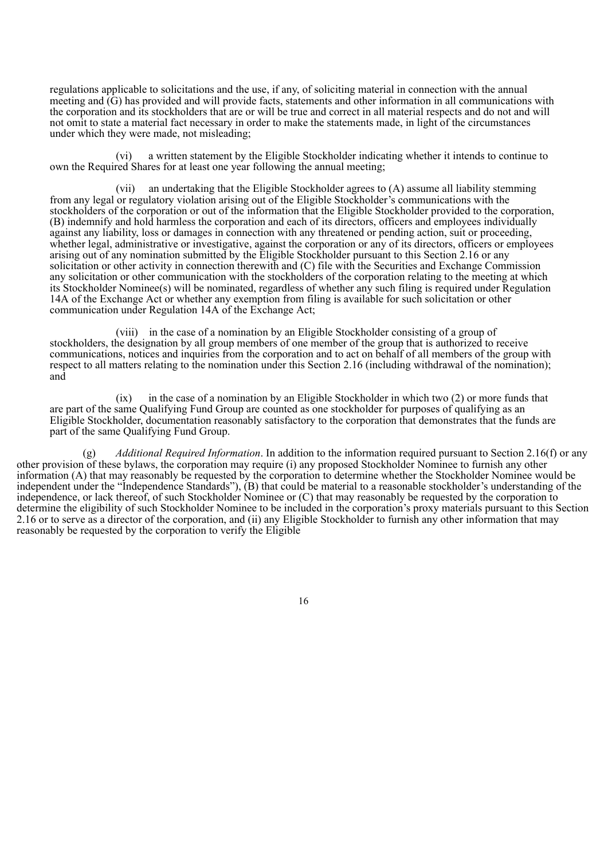regulations applicable to solicitations and the use, if any, of soliciting material in connection with the annual meeting and (G) has provided and will provide facts, statements and other information in all communications with the corporation and its stockholders that are or will be true and correct in all material respects and do not and will not omit to state a material fact necessary in order to make the statements made, in light of the circumstances under which they were made, not misleading;

(vi) a written statement by the Eligible Stockholder indicating whether it intends to continue to own the Required Shares for at least one year following the annual meeting;

(vii) an undertaking that the Eligible Stockholder agrees to (A) assume all liability stemming from any legal or regulatory violation arising out of the Eligible Stockholder's communications with the stockholders of the corporation or out of the information that the Eligible Stockholder provided to the corporation, (B) indemnify and hold harmless the corporation and each of its directors, officers and employees individually against any liability, loss or damages in connection with any threatened or pending action, suit or proceeding, whether legal, administrative or investigative, against the corporation or any of its directors, officers or employees arising out of any nomination submitted by the Eligible Stockholder pursuant to this Section 2.16 or any solicitation or other activity in connection therewith and (C) file with the Securities and Exchange Commission any solicitation or other communication with the stockholders of the corporation relating to the meeting at which its Stockholder Nominee(s) will be nominated, regardless of whether any such filing is required under Regulation 14A of the Exchange Act or whether any exemption from filing is available for such solicitation or other communication under Regulation 14A of the Exchange Act;

(viii) in the case of a nomination by an Eligible Stockholder consisting of a group of stockholders, the designation by all group members of one member of the group that is authorized to receive communications, notices and inquiries from the corporation and to act on behalf of all members of the group with respect to all matters relating to the nomination under this Section 2.16 (including withdrawal of the nomination); and

(ix) in the case of a nomination by an Eligible Stockholder in which two (2) or more funds that are part of the same Qualifying Fund Group are counted as one stockholder for purposes of qualifying as an Eligible Stockholder, documentation reasonably satisfactory to the corporation that demonstrates that the funds are part of the same Qualifying Fund Group.

(g) *Additional Required Information*. In addition to the information required pursuant to Section 2.16(f) or any other provision of these bylaws, the corporation may require (i) any proposed Stockholder Nominee to furnish any other information (A) that may reasonably be requested by the corporation to determine whether the Stockholder Nominee would be independent under the "Independence Standards"), (B) that could be material to a reasonable stockholder's understanding of the independence, or lack thereof, of such Stockholder Nominee or (C) that may reasonably be requested by the corporation to determine the eligibility of such Stockholder Nominee to be included in the corporation's proxy materials pursuant to this Section 2.16 or to serve as a director of the corporation, and (ii) any Eligible Stockholder to furnish any other information that may reasonably be requested by the corporation to verify the Eligible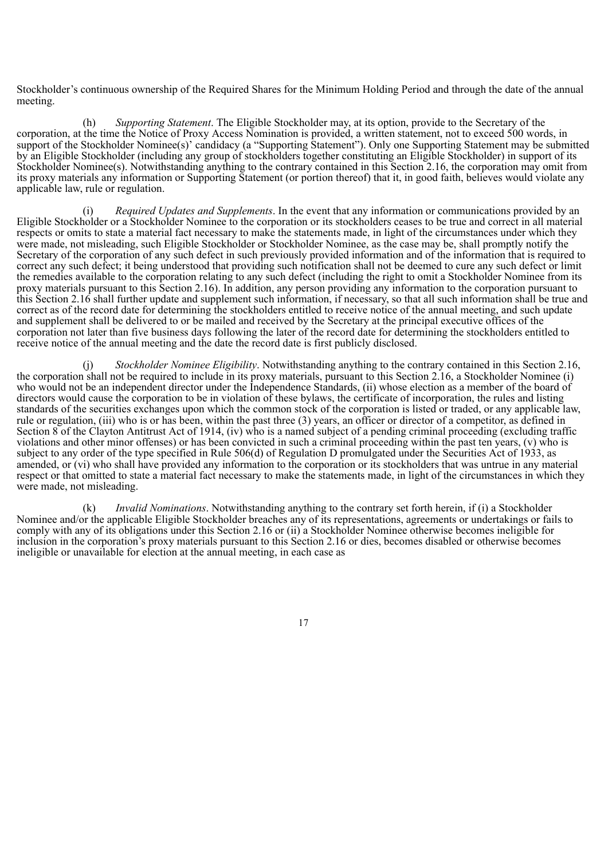Stockholder's continuous ownership of the Required Shares for the Minimum Holding Period and through the date of the annual meeting.

(h) *Supporting Statement*. The Eligible Stockholder may, at its option, provide to the Secretary of the corporation, at the time the Notice of Proxy Access Nomination is provided, a written statement, not to exceed 500 words, in support of the Stockholder Nominee(s)' candidacy (a "Supporting Statement"). Only one Supporting Statement may be submitted by an Eligible Stockholder (including any group of stockholders together constituting an Eligible Stockholder) in support of its Stockholder Nominee(s). Notwithstanding anything to the contrary contained in this Section 2.16, the corporation may omit from its proxy materials any information or Supporting Statement (or portion thereof) that it, in good faith, believes would violate any applicable law, rule or regulation.

(i) *Required Updates and Supplements*. In the event that any information or communications provided by an Eligible Stockholder or a Stockholder Nominee to the corporation or its stockholders ceases to be true and correct in all material respects or omits to state a material fact necessary to make the statements made, in light of the circumstances under which they were made, not misleading, such Eligible Stockholder or Stockholder Nominee, as the case may be, shall promptly notify the Secretary of the corporation of any such defect in such previously provided information and of the information that is required to correct any such defect; it being understood that providing such notification shall not be deemed to cure any such defect or limit the remedies available to the corporation relating to any such defect (including the right to omit a Stockholder Nominee from its proxy materials pursuant to this Section 2.16). In addition, any person providing any information to the corporation pursuant to this Section 2.16 shall further update and supplement such information, if necessary, so that all such information shall be true and correct as of the record date for determining the stockholders entitled to receive notice of the annual meeting, and such update and supplement shall be delivered to or be mailed and received by the Secretary at the principal executive offices of the corporation not later than five business days following the later of the record date for determining the stockholders entitled to receive notice of the annual meeting and the date the record date is first publicly disclosed.

*Stockholder Nominee Eligibility*. Notwithstanding anything to the contrary contained in this Section 2.16, the corporation shall not be required to include in its proxy materials, pursuant to this Section 2.16, a Stockholder Nominee (i) who would not be an independent director under the Independence Standards, (ii) whose election as a member of the board of directors would cause the corporation to be in violation of these bylaws, the certificate of incorporation, the rules and listing standards of the securities exchanges upon which the common stock of the corporation is listed or traded, or any applicable law, rule or regulation, (iii) who is or has been, within the past three (3) years, an officer or director of a competitor, as defined in Section 8 of the Clayton Antitrust Act of 1914, (iv) who is a named subject of a pending criminal proceeding (excluding traffic violations and other minor offenses) or has been convicted in such a criminal proceeding within the past ten years, (v) who is subject to any order of the type specified in Rule 506(d) of Regulation D promulgated under the Securities Act of 1933, as amended, or (vi) who shall have provided any information to the corporation or its stockholders that was untrue in any material respect or that omitted to state a material fact necessary to make the statements made, in light of the circumstances in which they were made, not misleading.

(k) *Invalid Nominations*. Notwithstanding anything to the contrary set forth herein, if (i) a Stockholder Nominee and/or the applicable Eligible Stockholder breaches any of its representations, agreements or undertakings or fails to comply with any of its obligations under this Section 2.16 or (ii) a Stockholder Nominee otherwise becomes ineligible for inclusion in the corporation's proxy materials pursuant to this Section 2.16 or dies, becomes disabled or otherwise becomes ineligible or unavailable for election at the annual meeting, in each case as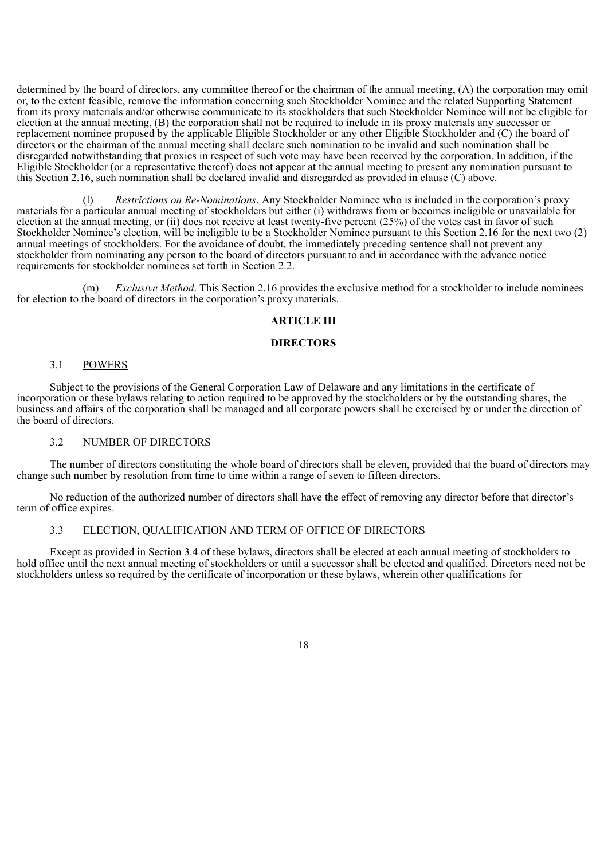determined by the board of directors, any committee thereof or the chairman of the annual meeting, (A) the corporation may omit or, to the extent feasible, remove the information concerning such Stockholder Nominee and the related Supporting Statement from its proxy materials and/or otherwise communicate to its stockholders that such Stockholder Nominee will not be eligible for election at the annual meeting, (B) the corporation shall not be required to include in its proxy materials any successor or replacement nominee proposed by the applicable Eligible Stockholder or any other Eligible Stockholder and (C) the board of directors or the chairman of the annual meeting shall declare such nomination to be invalid and such nomination shall be disregarded notwithstanding that proxies in respect of such vote may have been received by the corporation. In addition, if the Eligible Stockholder (or a representative thereof) does not appear at the annual meeting to present any nomination pursuant to this Section 2.16, such nomination shall be declared invalid and disregarded as provided in clause (C) above.

(l) *Restrictions on Re-Nominations*. Any Stockholder Nominee who is included in the corporation's proxy materials for a particular annual meeting of stockholders but either (i) withdraws from or becomes ineligible or unavailable for election at the annual meeting, or (ii) does not receive at least twenty-five percent (25%) of the votes cast in favor of such Stockholder Nominee's election, will be ineligible to be a Stockholder Nominee pursuant to this Section 2.16 for the next two (2) annual meetings of stockholders. For the avoidance of doubt, the immediately preceding sentence shall not prevent any stockholder from nominating any person to the board of directors pursuant to and in accordance with the advance notice requirements for stockholder nominees set forth in Section 2.2.

(m) *Exclusive Method*. This Section 2.16 provides the exclusive method for a stockholder to include nominees for election to the board of directors in the corporation's proxy materials.

#### **ARTICLE III**

## **DIRECTORS**

## 3.1 POWERS

Subject to the provisions of the General Corporation Law of Delaware and any limitations in the certificate of incorporation or these bylaws relating to action required to be approved by the stockholders or by the outstanding shares, the business and affairs of the corporation shall be managed and all corporate powers shall be exercised by or under the direction of the board of directors.

## 3.2 NUMBER OF DIRECTORS

The number of directors constituting the whole board of directors shall be eleven, provided that the board of directors may change such number by resolution from time to time within a range of seven to fifteen directors.

No reduction of the authorized number of directors shall have the effect of removing any director before that director's term of office expires.

## 3.3 ELECTION, QUALIFICATION AND TERM OF OFFICE OF DIRECTORS

Except as provided in Section 3.4 of these bylaws, directors shall be elected at each annual meeting of stockholders to hold office until the next annual meeting of stockholders or until a successor shall be elected and qualified. Directors need not be stockholders unless so required by the certificate of incorporation or these bylaws, wherein other qualifications for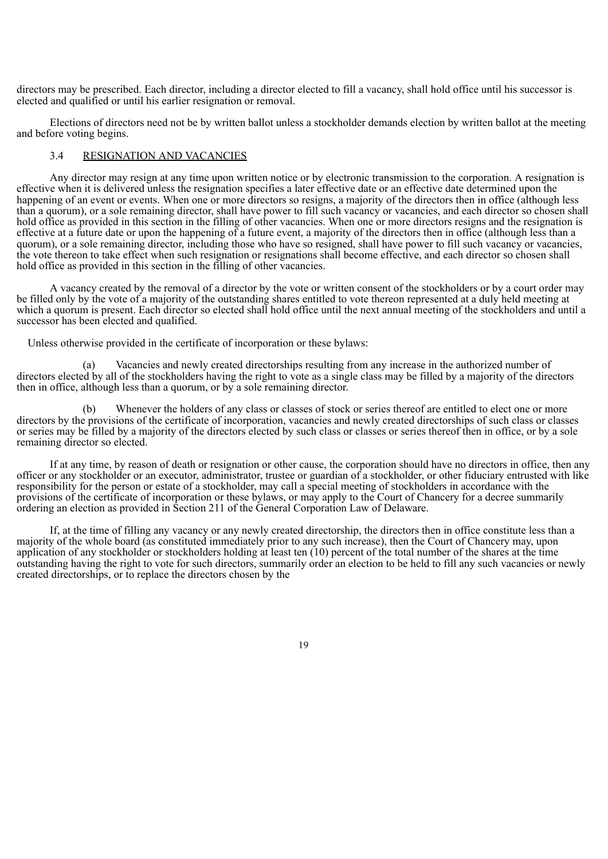directors may be prescribed. Each director, including a director elected to fill a vacancy, shall hold office until his successor is elected and qualified or until his earlier resignation or removal.

Elections of directors need not be by written ballot unless a stockholder demands election by written ballot at the meeting and before voting begins.

## 3.4 RESIGNATION AND VACANCIES

Any director may resign at any time upon written notice or by electronic transmission to the corporation. A resignation is effective when it is delivered unless the resignation specifies a later effective date or an effective date determined upon the happening of an event or events. When one or more directors so resigns, a majority of the directors then in office (although less than a quorum), or a sole remaining director, shall have power to fill such vacancy or vacancies, and each director so chosen shall hold office as provided in this section in the filling of other vacancies. When one or more directors resigns and the resignation is effective at a future date or upon the happening of a future event, a majority of the directors then in office (although less than a quorum), or a sole remaining director, including those who have so resigned, shall have power to fill such vacancy or vacancies, the vote thereon to take effect when such resignation or resignations shall become effective, and each director so chosen shall hold office as provided in this section in the filling of other vacancies.

A vacancy created by the removal of a director by the vote or written consent of the stockholders or by a court order may be filled only by the vote of a majority of the outstanding shares entitled to vote thereon represented at a duly held meeting at which a quorum is present. Each director so elected shall hold office until the next annual meeting of the stockholders and until a successor has been elected and qualified.

Unless otherwise provided in the certificate of incorporation or these bylaws:

Vacancies and newly created directorships resulting from any increase in the authorized number of directors elected by all of the stockholders having the right to vote as a single class may be filled by a majority of the directors then in office, although less than a quorum, or by a sole remaining director.

Whenever the holders of any class or classes of stock or series thereof are entitled to elect one or more directors by the provisions of the certificate of incorporation, vacancies and newly created directorships of such class or classes or series may be filled by a majority of the directors elected by such class or classes or series thereof then in office, or by a sole remaining director so elected.

If at any time, by reason of death or resignation or other cause, the corporation should have no directors in office, then any officer or any stockholder or an executor, administrator, trustee or guardian of a stockholder, or other fiduciary entrusted with like responsibility for the person or estate of a stockholder, may call a special meeting of stockholders in accordance with the provisions of the certificate of incorporation or these bylaws, or may apply to the Court of Chancery for a decree summarily ordering an election as provided in Section 211 of the General Corporation Law of Delaware.

If, at the time of filling any vacancy or any newly created directorship, the directors then in office constitute less than a majority of the whole board (as constituted immediately prior to any such increase), then the Court of Chancery may, upon application of any stockholder or stockholders holding at least ten (10) percent of the total number of the shares at the time outstanding having the right to vote for such directors, summarily order an election to be held to fill any such vacancies or newly created directorships, or to replace the directors chosen by the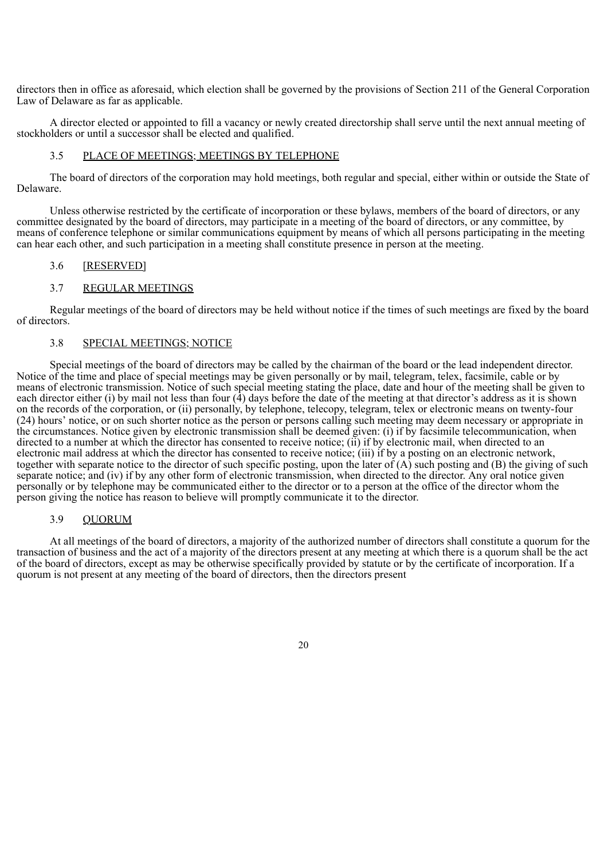directors then in office as aforesaid, which election shall be governed by the provisions of Section 211 of the General Corporation Law of Delaware as far as applicable.

A director elected or appointed to fill a vacancy or newly created directorship shall serve until the next annual meeting of stockholders or until a successor shall be elected and qualified.

## 3.5 PLACE OF MEETINGS; MEETINGS BY TELEPHONE

The board of directors of the corporation may hold meetings, both regular and special, either within or outside the State of Delaware.

Unless otherwise restricted by the certificate of incorporation or these bylaws, members of the board of directors, or any committee designated by the board of directors, may participate in a meeting of the board of directors, or any committee, by means of conference telephone or similar communications equipment by means of which all persons participating in the meeting can hear each other, and such participation in a meeting shall constitute presence in person at the meeting.

## 3.6 [RESERVED]

## 3.7 REGULAR MEETINGS

Regular meetings of the board of directors may be held without notice if the times of such meetings are fixed by the board of directors.

#### 3.8 SPECIAL MEETINGS; NOTICE

Special meetings of the board of directors may be called by the chairman of the board or the lead independent director. Notice of the time and place of special meetings may be given personally or by mail, telegram, telex, facsimile, cable or by means of electronic transmission. Notice of such special meeting stating the place, date and hour of the meeting shall be given to each director either (i) by mail not less than four  $(4)$  days before the date of the meeting at that director's address as it is shown on the records of the corporation, or (ii) personally, by telephone, telecopy, telegram, telex or electronic means on twenty-four (24) hours' notice, or on such shorter notice as the person or persons calling such meeting may deem necessary or appropriate in the circumstances. Notice given by electronic transmission shall be deemed given: (i) if by facsimile telecommunication, when directed to a number at which the director has consented to receive notice; (ii) if by electronic mail, when directed to an electronic mail address at which the director has consented to receive notice; (iii) if by a posting on an electronic network, together with separate notice to the director of such specific posting, upon the later of (A) such posting and (B) the giving of such separate notice; and (iv) if by any other form of electronic transmission, when directed to the director. Any oral notice given personally or by telephone may be communicated either to the director or to a person at the office of the director whom the person giving the notice has reason to believe will promptly communicate it to the director.

## 3.9 QUORUM

At all meetings of the board of directors, a majority of the authorized number of directors shall constitute a quorum for the transaction of business and the act of a majority of the directors present at any meeting at which there is a quorum shall be the act of the board of directors, except as may be otherwise specifically provided by statute or by the certificate of incorporation. If a quorum is not present at any meeting of the board of directors, then the directors present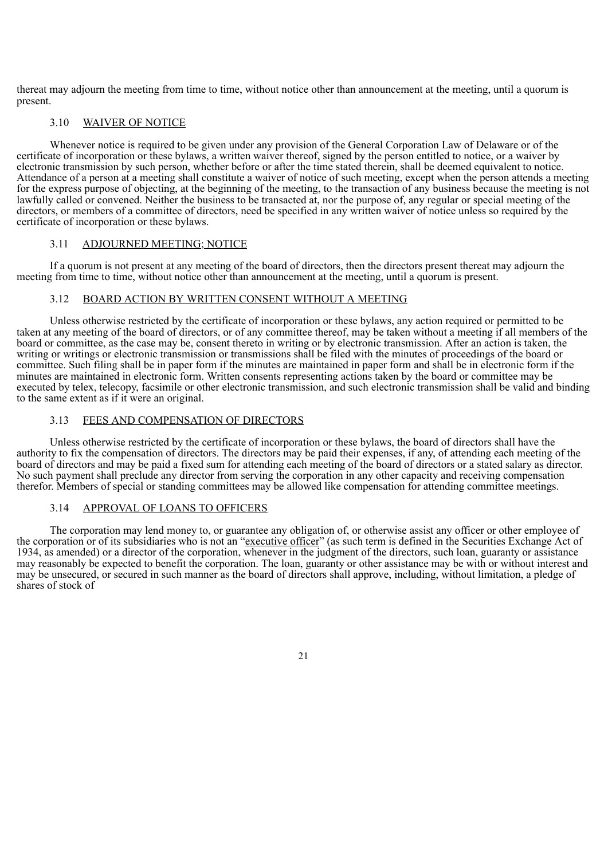thereat may adjourn the meeting from time to time, without notice other than announcement at the meeting, until a quorum is present.

## 3.10 WAIVER OF NOTICE

Whenever notice is required to be given under any provision of the General Corporation Law of Delaware or of the certificate of incorporation or these bylaws, a written waiver thereof, signed by the person entitled to notice, or a waiver by electronic transmission by such person, whether before or after the time stated therein, shall be deemed equivalent to notice. Attendance of a person at a meeting shall constitute a waiver of notice of such meeting, except when the person attends a meeting for the express purpose of objecting, at the beginning of the meeting, to the transaction of any business because the meeting is not lawfully called or convened. Neither the business to be transacted at, nor the purpose of, any regular or special meeting of the directors, or members of a committee of directors, need be specified in any written waiver of notice unless so required by the certificate of incorporation or these bylaws.

## 3.11 ADJOURNED MEETING; NOTICE

If a quorum is not present at any meeting of the board of directors, then the directors present thereat may adjourn the meeting from time to time, without notice other than announcement at the meeting, until a quorum is present.

## 3.12 BOARD ACTION BY WRITTEN CONSENT WITHOUT A MEETING

Unless otherwise restricted by the certificate of incorporation or these bylaws, any action required or permitted to be taken at any meeting of the board of directors, or of any committee thereof, may be taken without a meeting if all members of the board or committee, as the case may be, consent thereto in writing or by electronic transmission. After an action is taken, the writing or writings or electronic transmission or transmissions shall be filed with the minutes of proceedings of the board or committee. Such filing shall be in paper form if the minutes are maintained in paper form and shall be in electronic form if the minutes are maintained in electronic form. Written consents representing actions taken by the board or committee may be executed by telex, telecopy, facsimile or other electronic transmission, and such electronic transmission shall be valid and binding to the same extent as if it were an original.

## 3.13 FEES AND COMPENSATION OF DIRECTORS

Unless otherwise restricted by the certificate of incorporation or these bylaws, the board of directors shall have the authority to fix the compensation of directors. The directors may be paid their expenses, if any, of attending each meeting of the board of directors and may be paid a fixed sum for attending each meeting of the board of directors or a stated salary as director. No such payment shall preclude any director from serving the corporation in any other capacity and receiving compensation therefor. Members of special or standing committees may be allowed like compensation for attending committee meetings.

#### 3.14 APPROVAL OF LOANS TO OFFICERS

The corporation may lend money to, or guarantee any obligation of, or otherwise assist any officer or other employee of the corporation or of its subsidiaries who is not an "executive officer" (as such term is defined in the Securities Exchange Act of 1934, as amended) or a director of the corporation, whenever in the judgment of the directors, such loan, guaranty or assistance may reasonably be expected to benefit the corporation. The loan, guaranty or other assistance may be with or without interest and may be unsecured, or secured in such manner as the board of directors shall approve, including, without limitation, a pledge of shares of stock of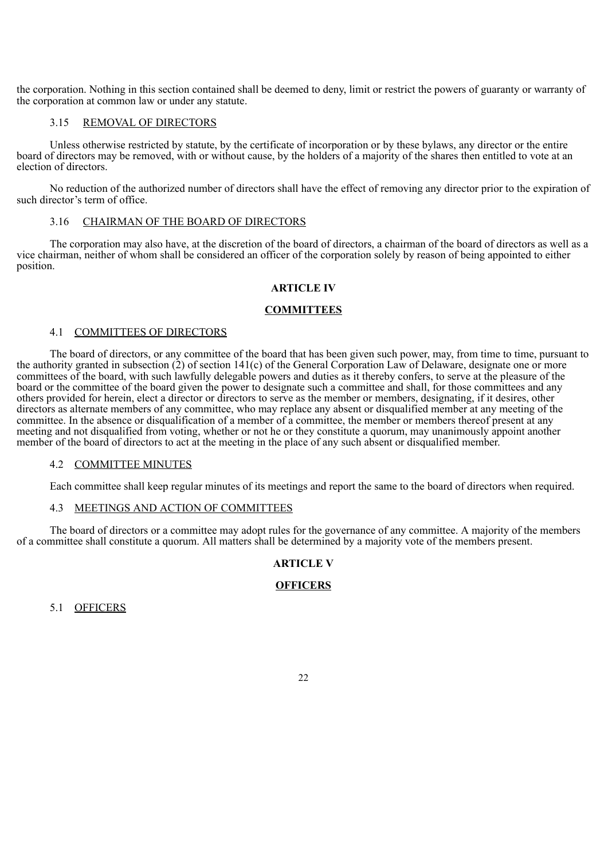the corporation. Nothing in this section contained shall be deemed to deny, limit or restrict the powers of guaranty or warranty of the corporation at common law or under any statute.

## 3.15 REMOVAL OF DIRECTORS

Unless otherwise restricted by statute, by the certificate of incorporation or by these bylaws, any director or the entire board of directors may be removed, with or without cause, by the holders of a majority of the shares then entitled to vote at an election of directors.

No reduction of the authorized number of directors shall have the effect of removing any director prior to the expiration of such director's term of office.

## 3.16 CHAIRMAN OF THE BOARD OF DIRECTORS

The corporation may also have, at the discretion of the board of directors, a chairman of the board of directors as well as a vice chairman, neither of whom shall be considered an officer of the corporation solely by reason of being appointed to either position.

## **ARTICLE IV**

## **COMMITTEES**

#### 4.1 COMMITTEES OF DIRECTORS

The board of directors, or any committee of the board that has been given such power, may, from time to time, pursuant to the authority granted in subsection (2) of section 141(c) of the General Corporation Law of Delaware, designate one or more committees of the board, with such lawfully delegable powers and duties as it thereby confers, to serve at the pleasure of the board or the committee of the board given the power to designate such a committee and shall, for those committees and any others provided for herein, elect a director or directors to serve as the member or members, designating, if it desires, other directors as alternate members of any committee, who may replace any absent or disqualified member at any meeting of the committee. In the absence or disqualification of a member of a committee, the member or members thereof present at any meeting and not disqualified from voting, whether or not he or they constitute a quorum, may unanimously appoint another member of the board of directors to act at the meeting in the place of any such absent or disqualified member.

## 4.2 COMMITTEE MINUTES

Each committee shall keep regular minutes of its meetings and report the same to the board of directors when required.

#### 4.3 MEETINGS AND ACTION OF COMMITTEES

The board of directors or a committee may adopt rules for the governance of any committee. A majority of the members of a committee shall constitute a quorum. All matters shall be determined by a majority vote of the members present.

## **ARTICLE V**

## **OFFICERS**

5.1 OFFICERS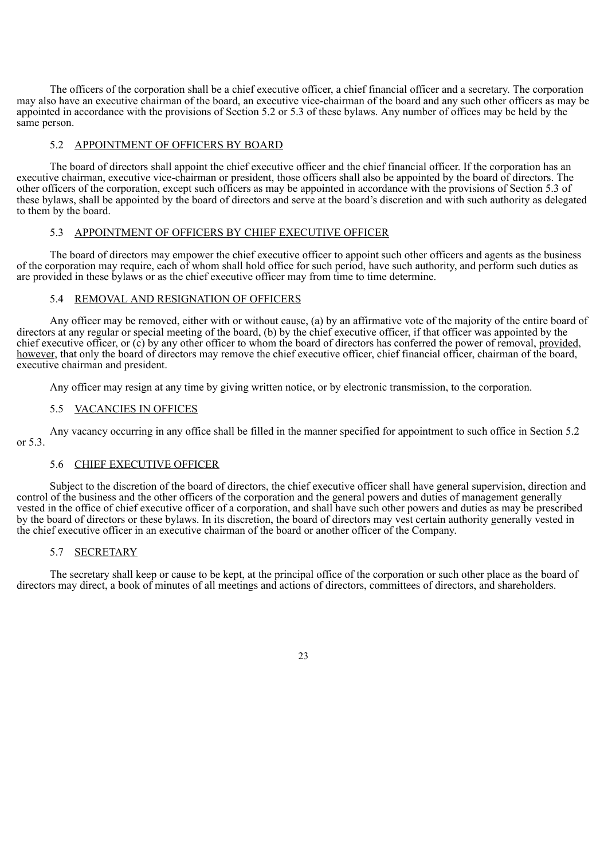The officers of the corporation shall be a chief executive officer, a chief financial officer and a secretary. The corporation may also have an executive chairman of the board, an executive vice-chairman of the board and any such other officers as may be appointed in accordance with the provisions of Section 5.2 or 5.3 of these bylaws. Any number of offices may be held by the same person.

## 5.2 APPOINTMENT OF OFFICERS BY BOARD

The board of directors shall appoint the chief executive officer and the chief financial officer. If the corporation has an executive chairman, executive vice-chairman or president, those officers shall also be appointed by the board of directors. The other officers of the corporation, except such officers as may be appointed in accordance with the provisions of Section 5.3 of these bylaws, shall be appointed by the board of directors and serve at the board's discretion and with such authority as delegated to them by the board.

### 5.3 APPOINTMENT OF OFFICERS BY CHIEF EXECUTIVE OFFICER

The board of directors may empower the chief executive officer to appoint such other officers and agents as the business of the corporation may require, each of whom shall hold office for such period, have such authority, and perform such duties as are provided in these bylaws or as the chief executive officer may from time to time determine.

## 5.4 REMOVAL AND RESIGNATION OF OFFICERS

Any officer may be removed, either with or without cause, (a) by an affirmative vote of the majority of the entire board of directors at any regular or special meeting of the board, (b) by the chief executive officer, if that officer was appointed by the chief executive officer, or (c) by any other officer to whom the board of directors has conferred the power of removal, provided, however, that only the board of directors may remove the chief executive officer, chief financial officer, chairman of the board, executive chairman and president.

Any officer may resign at any time by giving written notice, or by electronic transmission, to the corporation.

#### 5.5 VACANCIES IN OFFICES

Any vacancy occurring in any office shall be filled in the manner specified for appointment to such office in Section 5.2 or 5.3.

## 5.6 CHIEF EXECUTIVE OFFICER

Subject to the discretion of the board of directors, the chief executive officer shall have general supervision, direction and control of the business and the other officers of the corporation and the general powers and duties of management generally vested in the office of chief executive officer of a corporation, and shall have such other powers and duties as may be prescribed by the board of directors or these bylaws. In its discretion, the board of directors may vest certain authority generally vested in the chief executive officer in an executive chairman of the board or another officer of the Company.

#### 5.7 SECRETARY

The secretary shall keep or cause to be kept, at the principal office of the corporation or such other place as the board of directors may direct, a book of minutes of all meetings and actions of directors, committees of directors, and shareholders.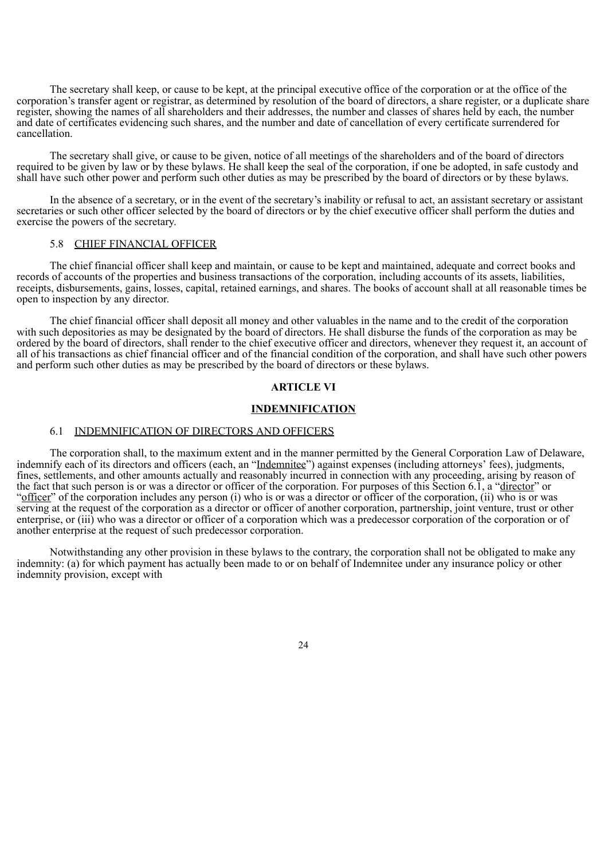The secretary shall keep, or cause to be kept, at the principal executive office of the corporation or at the office of the corporation's transfer agent or registrar, as determined by resolution of the board of directors, a share register, or a duplicate share register, showing the names of all shareholders and their addresses, the number and classes of shares held by each, the number and date of certificates evidencing such shares, and the number and date of cancellation of every certificate surrendered for cancellation.

The secretary shall give, or cause to be given, notice of all meetings of the shareholders and of the board of directors required to be given by law or by these bylaws. He shall keep the seal of the corporation, if one be adopted, in safe custody and shall have such other power and perform such other duties as may be prescribed by the board of directors or by these bylaws.

In the absence of a secretary, or in the event of the secretary's inability or refusal to act, an assistant secretary or assistant secretaries or such other officer selected by the board of directors or by the chief executive officer shall perform the duties and exercise the powers of the secretary.

#### 5.8 CHIEF FINANCIAL OFFICER

The chief financial officer shall keep and maintain, or cause to be kept and maintained, adequate and correct books and records of accounts of the properties and business transactions of the corporation, including accounts of its assets, liabilities, receipts, disbursements, gains, losses, capital, retained earnings, and shares. The books of account shall at all reasonable times be open to inspection by any director.

The chief financial officer shall deposit all money and other valuables in the name and to the credit of the corporation with such depositories as may be designated by the board of directors. He shall disburse the funds of the corporation as may be ordered by the board of directors, shall render to the chief executive officer and directors, whenever they request it, an account of all of his transactions as chief financial officer and of the financial condition of the corporation, and shall have such other powers and perform such other duties as may be prescribed by the board of directors or these bylaws.

## **ARTICLE VI**

#### **INDEMNIFICATION**

## 6.1 INDEMNIFICATION OF DIRECTORS AND OFFICERS

The corporation shall, to the maximum extent and in the manner permitted by the General Corporation Law of Delaware, indemnify each of its directors and officers (each, an "Indemnitee") against expenses (including attorneys' fees), judgments, fines, settlements, and other amounts actually and reasonably incurred in connection with any proceeding, arising by reason of the fact that such person is or was a director or officer of the corporation. For purposes of this Section 6.1, a "director" or "officer" of the corporation includes any person (i) who is or was a director or officer of the corporation, (ii) who is or was serving at the request of the corporation as a director or officer of another corporation, partnership, joint venture, trust or other enterprise, or (iii) who was a director or officer of a corporation which was a predecessor corporation of the corporation or of another enterprise at the request of such predecessor corporation.

Notwithstanding any other provision in these bylaws to the contrary, the corporation shall not be obligated to make any indemnity: (a) for which payment has actually been made to or on behalf of Indemnitee under any insurance policy or other indemnity provision, except with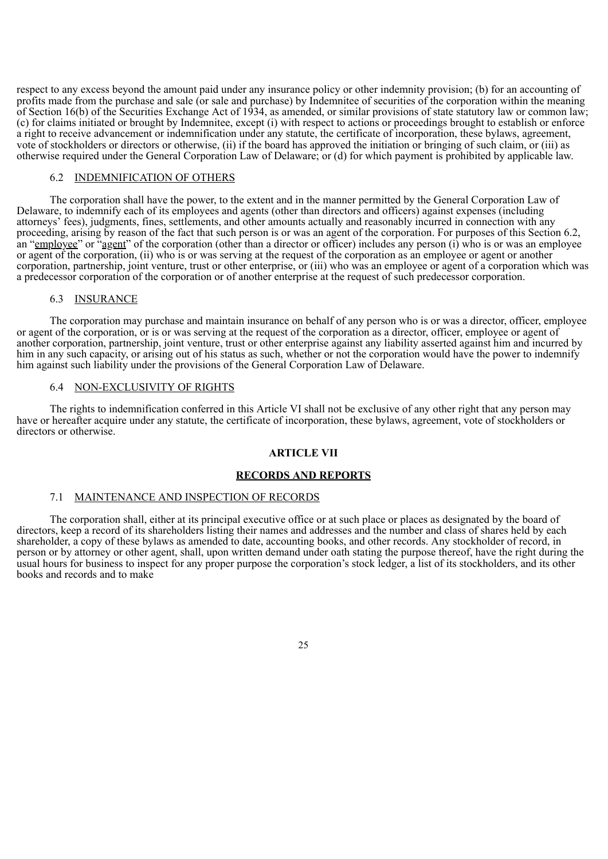respect to any excess beyond the amount paid under any insurance policy or other indemnity provision; (b) for an accounting of profits made from the purchase and sale (or sale and purchase) by Indemnitee of securities of the corporation within the meaning of Section 16(b) of the Securities Exchange Act of 1934, as amended, or similar provisions of state statutory law or common law; (c) for claims initiated or brought by Indemnitee, except (i) with respect to actions or proceedings brought to establish or enforce a right to receive advancement or indemnification under any statute, the certificate of incorporation, these bylaws, agreement, vote of stockholders or directors or otherwise, (ii) if the board has approved the initiation or bringing of such claim, or (iii) as otherwise required under the General Corporation Law of Delaware; or (d) for which payment is prohibited by applicable law.

## 6.2 INDEMNIFICATION OF OTHERS

The corporation shall have the power, to the extent and in the manner permitted by the General Corporation Law of Delaware, to indemnify each of its employees and agents (other than directors and officers) against expenses (including attorneys' fees), judgments, fines, settlements, and other amounts actually and reasonably incurred in connection with any proceeding, arising by reason of the fact that such person is or was an agent of the corporation. For purposes of this Section 6.2, an "employee" or "agent" of the corporation (other than a director or officer) includes any person (i) who is or was an employee or agent of the corporation, (ii) who is or was serving at the request of the corporation as an employee or agent or another corporation, partnership, joint venture, trust or other enterprise, or (iii) who was an employee or agent of a corporation which was a predecessor corporation of the corporation or of another enterprise at the request of such predecessor corporation.

### 6.3 INSURANCE

The corporation may purchase and maintain insurance on behalf of any person who is or was a director, officer, employee or agent of the corporation, or is or was serving at the request of the corporation as a director, officer, employee or agent of another corporation, partnership, joint venture, trust or other enterprise against any liability asserted against him and incurred by him in any such capacity, or arising out of his status as such, whether or not the corporation would have the power to indemnify him against such liability under the provisions of the General Corporation Law of Delaware.

#### 6.4 NON-EXCLUSIVITY OF RIGHTS

The rights to indemnification conferred in this Article VI shall not be exclusive of any other right that any person may have or hereafter acquire under any statute, the certificate of incorporation, these bylaws, agreement, vote of stockholders or directors or otherwise.

## **ARTICLE VII**

#### **RECORDS AND REPORTS**

#### 7.1 MAINTENANCE AND INSPECTION OF RECORDS

The corporation shall, either at its principal executive office or at such place or places as designated by the board of directors, keep a record of its shareholders listing their names and addresses and the number and class of shares held by each shareholder, a copy of these bylaws as amended to date, accounting books, and other records. Any stockholder of record, in person or by attorney or other agent, shall, upon written demand under oath stating the purpose thereof, have the right during the usual hours for business to inspect for any proper purpose the corporation's stock ledger, a list of its stockholders, and its other books and records and to make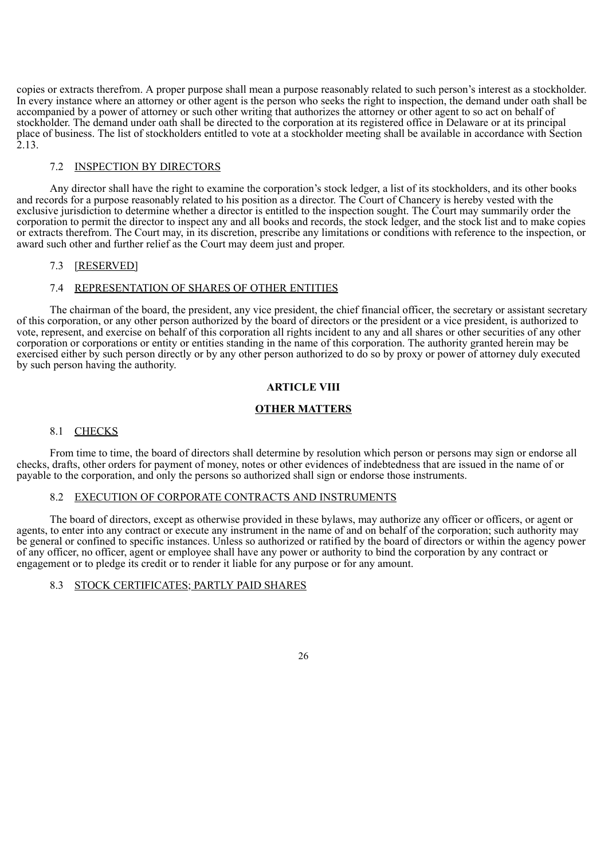copies or extracts therefrom. A proper purpose shall mean a purpose reasonably related to such person's interest as a stockholder. In every instance where an attorney or other agent is the person who seeks the right to inspection, the demand under oath shall be accompanied by a power of attorney or such other writing that authorizes the attorney or other agent to so act on behalf of stockholder. The demand under oath shall be directed to the corporation at its registered office in Delaware or at its principal place of business. The list of stockholders entitled to vote at a stockholder meeting shall be available in accordance with Section  $2.13.$ 

## 7.2 INSPECTION BY DIRECTORS

Any director shall have the right to examine the corporation's stock ledger, a list of its stockholders, and its other books and records for a purpose reasonably related to his position as a director. The Court of Chancery is hereby vested with the exclusive jurisdiction to determine whether a director is entitled to the inspection sought. The Court may summarily order the corporation to permit the director to inspect any and all books and records, the stock ledger, and the stock list and to make copies or extracts therefrom. The Court may, in its discretion, prescribe any limitations or conditions with reference to the inspection, or award such other and further relief as the Court may deem just and proper.

## 7.3 [RESERVED]

## 7.4 REPRESENTATION OF SHARES OF OTHER ENTITIES

The chairman of the board, the president, any vice president, the chief financial officer, the secretary or assistant secretary of this corporation, or any other person authorized by the board of directors or the president or a vice president, is authorized to vote, represent, and exercise on behalf of this corporation all rights incident to any and all shares or other securities of any other corporation or corporations or entity or entities standing in the name of this corporation. The authority granted herein may be exercised either by such person directly or by any other person authorized to do so by proxy or power of attorney duly executed by such person having the authority.

## **ARTICLE VIII**

#### **OTHER MATTERS**

## 8.1 CHECKS

From time to time, the board of directors shall determine by resolution which person or persons may sign or endorse all checks, drafts, other orders for payment of money, notes or other evidences of indebtedness that are issued in the name of or payable to the corporation, and only the persons so authorized shall sign or endorse those instruments.

## 8.2 EXECUTION OF CORPORATE CONTRACTS AND INSTRUMENTS

The board of directors, except as otherwise provided in these bylaws, may authorize any officer or officers, or agent or agents, to enter into any contract or execute any instrument in the name of and on behalf of the corporation; such authority may be general or confined to specific instances. Unless so authorized or ratified by the board of directors or within the agency power of any officer, no officer, agent or employee shall have any power or authority to bind the corporation by any contract or engagement or to pledge its credit or to render it liable for any purpose or for any amount.

## 8.3 STOCK CERTIFICATES; PARTLY PAID SHARES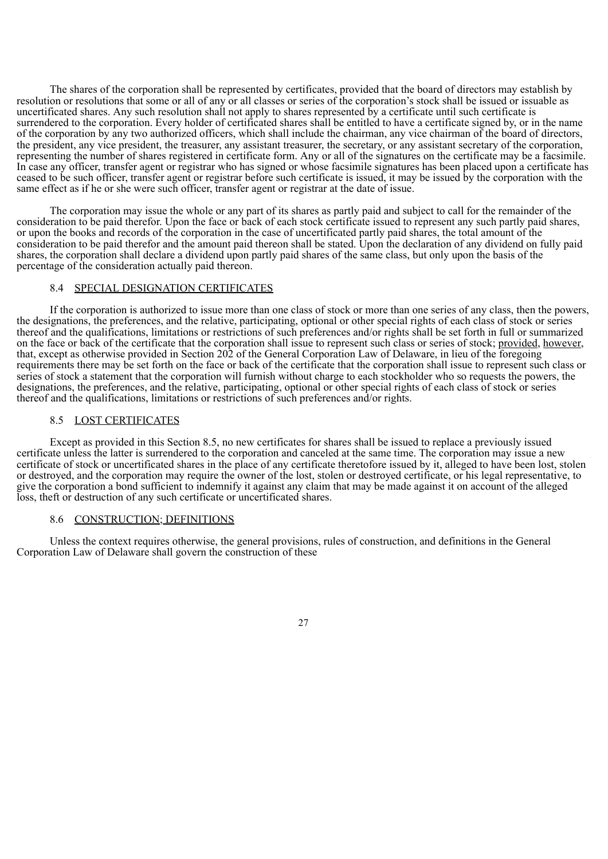The shares of the corporation shall be represented by certificates, provided that the board of directors may establish by resolution or resolutions that some or all of any or all classes or series of the corporation's stock shall be issued or issuable as uncertificated shares. Any such resolution shall not apply to shares represented by a certificate until such certificate is surrendered to the corporation. Every holder of certificated shares shall be entitled to have a certificate signed by, or in the name of the corporation by any two authorized officers, which shall include the chairman, any vice chairman of the board of directors, the president, any vice president, the treasurer, any assistant treasurer, the secretary, or any assistant secretary of the corporation, representing the number of shares registered in certificate form. Any or all of the signatures on the certificate may be a facsimile. In case any officer, transfer agent or registrar who has signed or whose facsimile signatures has been placed upon a certificate has ceased to be such officer, transfer agent or registrar before such certificate is issued, it may be issued by the corporation with the same effect as if he or she were such officer, transfer agent or registrar at the date of issue.

The corporation may issue the whole or any part of its shares as partly paid and subject to call for the remainder of the consideration to be paid therefor. Upon the face or back of each stock certificate issued to represent any such partly paid shares, or upon the books and records of the corporation in the case of uncertificated partly paid shares, the total amount of the consideration to be paid therefor and the amount paid thereon shall be stated. Upon the declaration of any dividend on fully paid shares, the corporation shall declare a dividend upon partly paid shares of the same class, but only upon the basis of the percentage of the consideration actually paid thereon.

#### 8.4 SPECIAL DESIGNATION CERTIFICATES

If the corporation is authorized to issue more than one class of stock or more than one series of any class, then the powers, the designations, the preferences, and the relative, participating, optional or other special rights of each class of stock or series thereof and the qualifications, limitations or restrictions of such preferences and/or rights shall be set forth in full or summarized on the face or back of the certificate that the corporation shall issue to represent such class or series of stock; provided, however, that, except as otherwise provided in Section 202 of the General Corporation Law of Delaware, in lieu of the foregoing requirements there may be set forth on the face or back of the certificate that the corporation shall issue to represent such class or series of stock a statement that the corporation will furnish without charge to each stockholder who so requests the powers, the designations, the preferences, and the relative, participating, optional or other special rights of each class of stock or series thereof and the qualifications, limitations or restrictions of such preferences and/or rights.

## 8.5 LOST CERTIFICATES

Except as provided in this Section 8.5, no new certificates for shares shall be issued to replace a previously issued certificate unless the latter is surrendered to the corporation and canceled at the same time. The corporation may issue a new certificate of stock or uncertificated shares in the place of any certificate theretofore issued by it, alleged to have been lost, stolen or destroyed, and the corporation may require the owner of the lost, stolen or destroyed certificate, or his legal representative, to give the corporation a bond sufficient to indemnify it against any claim that may be made against it on account of the alleged loss, theft or destruction of any such certificate or uncertificated shares.

#### 8.6 CONSTRUCTION; DEFINITIONS

Unless the context requires otherwise, the general provisions, rules of construction, and definitions in the General Corporation Law of Delaware shall govern the construction of these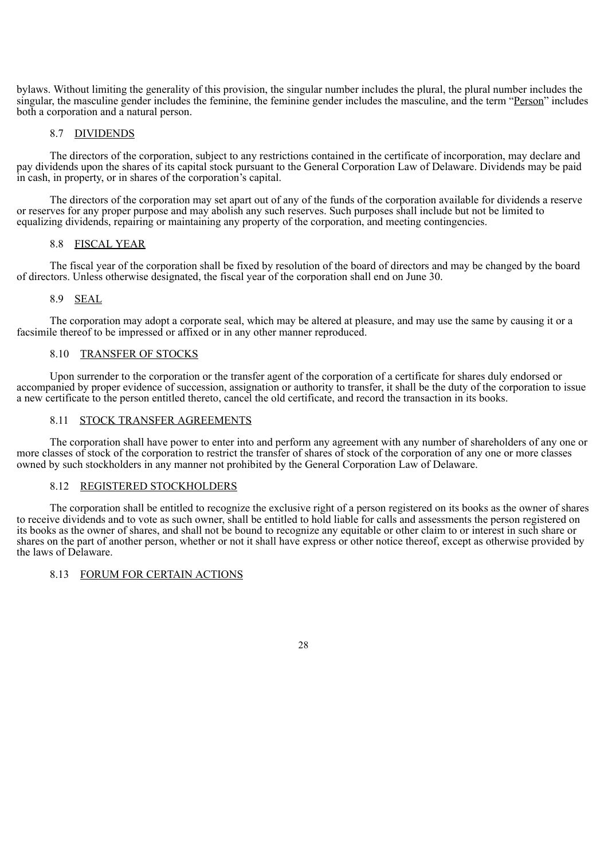bylaws. Without limiting the generality of this provision, the singular number includes the plural, the plural number includes the singular, the masculine gender includes the feminine, the feminine gender includes the masculine, and the term "Person" includes both a corporation and a natural person.

#### 8.7 DIVIDENDS

The directors of the corporation, subject to any restrictions contained in the certificate of incorporation, may declare and pay dividends upon the shares of its capital stock pursuant to the General Corporation Law of Delaware. Dividends may be paid in cash, in property, or in shares of the corporation's capital.

The directors of the corporation may set apart out of any of the funds of the corporation available for dividends a reserve or reserves for any proper purpose and may abolish any such reserves. Such purposes shall include but not be limited to equalizing dividends, repairing or maintaining any property of the corporation, and meeting contingencies.

#### 8.8 FISCAL YEAR

The fiscal year of the corporation shall be fixed by resolution of the board of directors and may be changed by the board of directors. Unless otherwise designated, the fiscal year of the corporation shall end on June 30.

## 8.9 SEAL

The corporation may adopt a corporate seal, which may be altered at pleasure, and may use the same by causing it or a facsimile thereof to be impressed or affixed or in any other manner reproduced.

## 8.10 TRANSFER OF STOCKS

Upon surrender to the corporation or the transfer agent of the corporation of a certificate for shares duly endorsed or accompanied by proper evidence of succession, assignation or authority to transfer, it shall be the duty of the corporation to issue a new certificate to the person entitled thereto, cancel the old certificate, and record the transaction in its books.

#### 8.11 STOCK TRANSFER AGREEMENTS

The corporation shall have power to enter into and perform any agreement with any number of shareholders of any one or more classes of stock of the corporation to restrict the transfer of shares of stock of the corporation of any one or more classes owned by such stockholders in any manner not prohibited by the General Corporation Law of Delaware.

## 8.12 REGISTERED STOCKHOLDERS

The corporation shall be entitled to recognize the exclusive right of a person registered on its books as the owner of shares to receive dividends and to vote as such owner, shall be entitled to hold liable for calls and assessments the person registered on its books as the owner of shares, and shall not be bound to recognize any equitable or other claim to or interest in such share or shares on the part of another person, whether or not it shall have express or other notice thereof, except as otherwise provided by the laws of Delaware.

## 8.13 FORUM FOR CERTAIN ACTIONS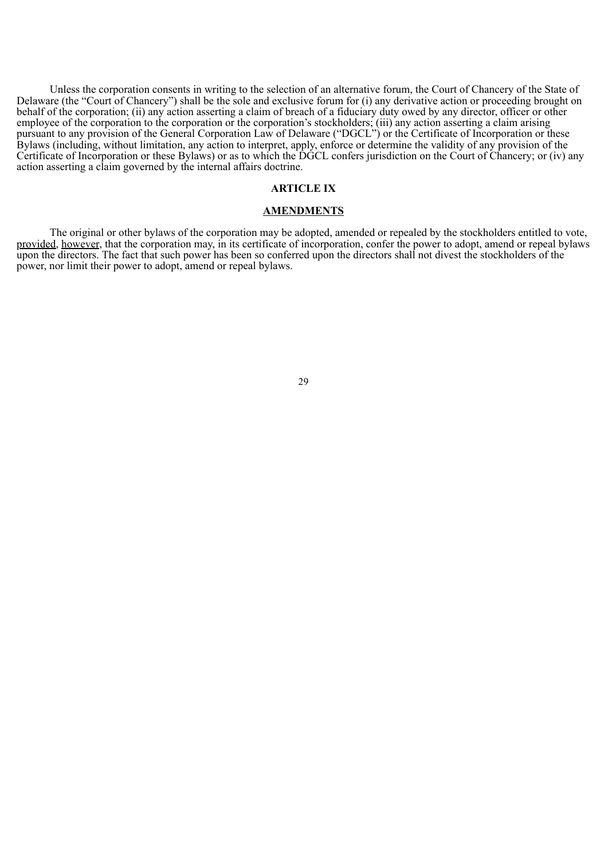Unless the corporation consents in writing to the selection of an alternative forum, the Court of Chancery of the State of Delaware (the "Court of Chancery") shall be the sole and exclusive forum for (i) any derivative action or proceeding brought on behalf of the corporation; (ii) any action asserting a claim of breach of a fiduciary duty owed by any director, officer or other employee of the corporation to the corporation or the corporation's stockholders; (iii) any action asserting a claim arising pursuant to any provision of the General Corporation Law of Delaware ("DGCL") or the Certificate of Incorporation or these Bylaws (including, without limitation, any action to interpret, apply, enforce or determine the validity of any provision of the Certificate of Incorporation or these Bylaws) or as to which the DGCL confers jurisdiction on the Court of Chancery; or (iv) any action asserting a claim governed by the internal affairs doctrine.

#### **ARTICLE IX**

#### **AMENDMENTS**

The original or other bylaws of the corporation may be adopted, amended or repealed by the stockholders entitled to vote, provided, however, that the corporation may, in its certificate of incorporation, confer the power to adopt, amend or repeal bylaws upon the directors. The fact that such power has been so conferred upon the directors shall not divest the stockholders of the power, nor limit their power to adopt, amend or repeal bylaws.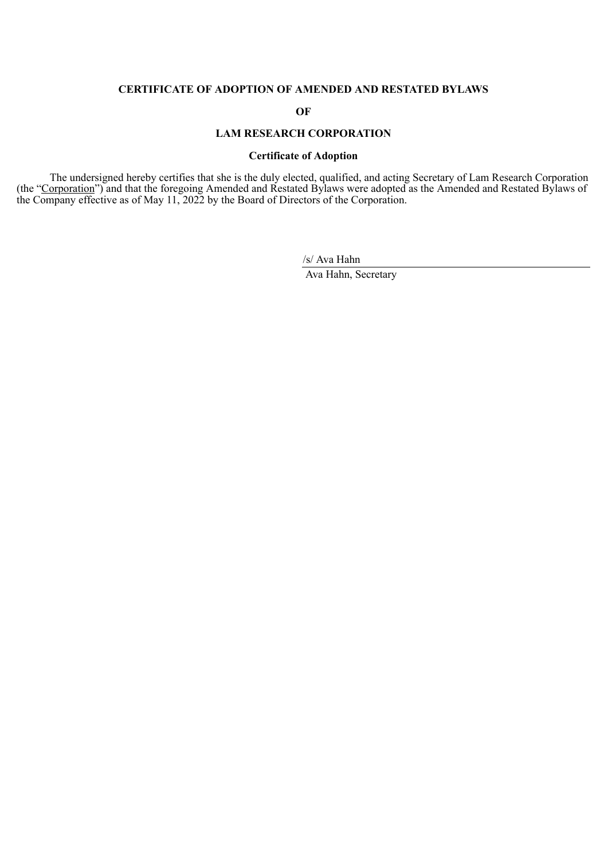## **CERTIFICATE OF ADOPTION OF AMENDED AND RESTATED BYLAWS**

**OF**

## **LAM RESEARCH CORPORATION**

## **Certificate of Adoption**

The undersigned hereby certifies that she is the duly elected, qualified, and acting Secretary of Lam Research Corporation (the "Corporation") and that the foregoing Amended and Restated Bylaws were adopted as the Amended and Restated Bylaws of the Company effective as of May 11, 2022 by the Board of Directors of the Corporation.

/s/ Ava Hahn

Ava Hahn, Secretary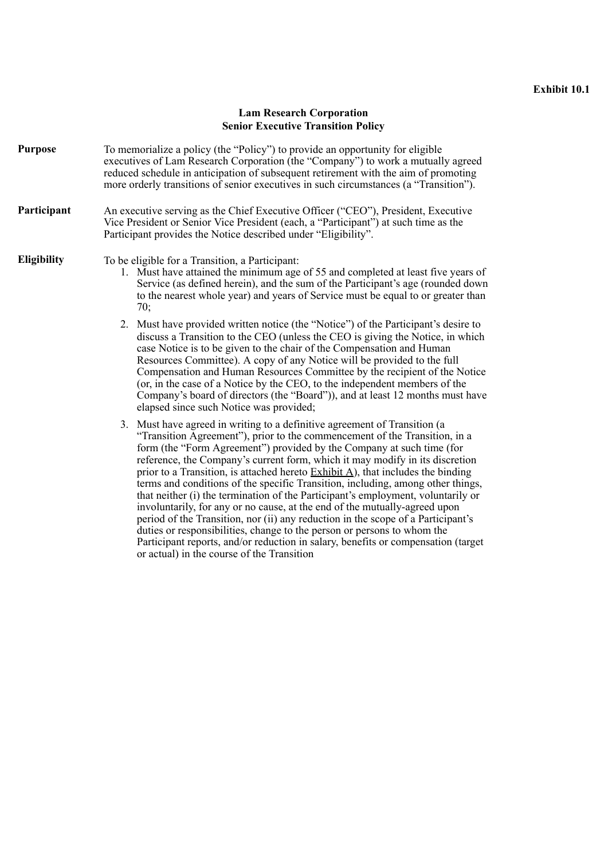## **Lam Research Corporation Senior Executive Transition Policy**

<span id="page-35-0"></span>**Purpose** To memorialize a policy (the "Policy") to provide an opportunity for eligible executives of Lam Research Corporation (the "Company") to work a mutually agreed reduced schedule in anticipation of subsequent retirement with the aim of promoting more orderly transitions of senior executives in such circumstances (a "Transition").

## **Participant** An executive serving as the Chief Executive Officer ("CEO"), President, Executive Vice President or Senior Vice President (each, a "Participant") at such time as the Participant provides the Notice described under "Eligibility".

**Eligibility** To be eligible for a Transition, a Participant:

- 1. Must have attained the minimum age of 55 and completed at least five years of Service (as defined herein), and the sum of the Participant's age (rounded down to the nearest whole year) and years of Service must be equal to or greater than 70;
- 2. Must have provided written notice (the "Notice") of the Participant's desire to discuss a Transition to the CEO (unless the CEO is giving the Notice, in which case Notice is to be given to the chair of the Compensation and Human Resources Committee). A copy of any Notice will be provided to the full Compensation and Human Resources Committee by the recipient of the Notice (or, in the case of a Notice by the CEO, to the independent members of the Company's board of directors (the "Board")), and at least 12 months must have elapsed since such Notice was provided;
- 3. Must have agreed in writing to a definitive agreement of Transition (a "Transition Agreement"), prior to the commencement of the Transition, in a form (the "Form Agreement") provided by the Company at such time (for reference, the Company's current form, which it may modify in its discretion prior to a Transition, is attached hereto Exhibit A), that includes the binding terms and conditions of the specific Transition, including, among other things, that neither (i) the termination of the Participant's employment, voluntarily or involuntarily, for any or no cause, at the end of the mutually-agreed upon period of the Transition, nor (ii) any reduction in the scope of a Participant's duties or responsibilities, change to the person or persons to whom the Participant reports, and/or reduction in salary, benefits or compensation (target or actual) in the course of the Transition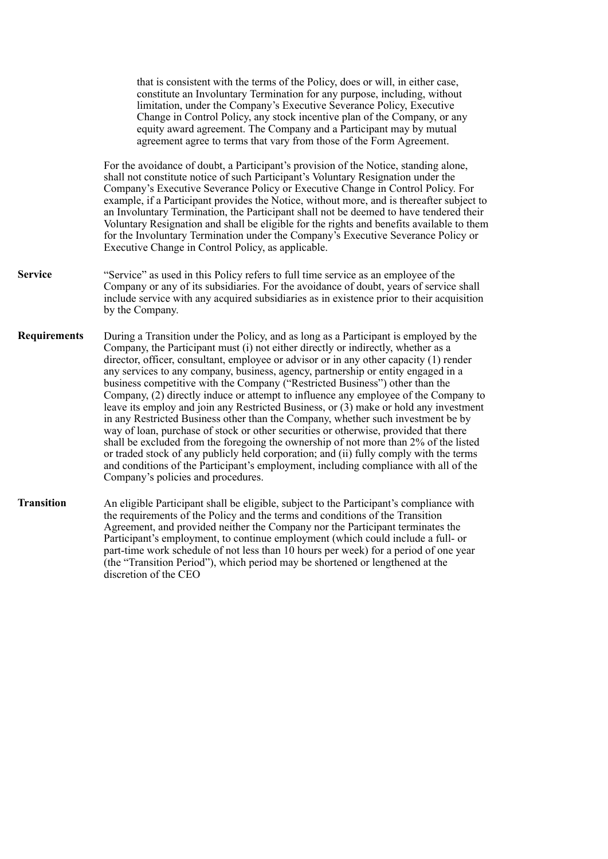that is consistent with the terms of the Policy, does or will, in either case, constitute an Involuntary Termination for any purpose, including, without limitation, under the Company's Executive Severance Policy, Executive Change in Control Policy, any stock incentive plan of the Company, or any equity award agreement. The Company and a Participant may by mutual agreement agree to terms that vary from those of the Form Agreement. For the avoidance of doubt, a Participant's provision of the Notice, standing alone, shall not constitute notice of such Participant's Voluntary Resignation under the Company's Executive Severance Policy or Executive Change in Control Policy. For example, if a Participant provides the Notice, without more, and is thereafter subject to an Involuntary Termination, the Participant shall not be deemed to have tendered their Voluntary Resignation and shall be eligible for the rights and benefits available to them for the Involuntary Termination under the Company's Executive Severance Policy or Executive Change in Control Policy, as applicable. **Service** "Service" as used in this Policy refers to full time service as an employee of the Company or any of its subsidiaries. For the avoidance of doubt, years of service shall include service with any acquired subsidiaries as in existence prior to their acquisition by the Company. **Requirements** During a Transition under the Policy, and as long as a Participant is employed by the Company, the Participant must (i) not either directly or indirectly, whether as a director, officer, consultant, employee or advisor or in any other capacity (1) render any services to any company, business, agency, partnership or entity engaged in a business competitive with the Company ("Restricted Business") other than the Company, (2) directly induce or attempt to influence any employee of the Company to leave its employ and join any Restricted Business, or (3) make or hold any investment in any Restricted Business other than the Company, whether such investment be by way of loan, purchase of stock or other securities or otherwise, provided that there shall be excluded from the foregoing the ownership of not more than 2% of the listed or traded stock of any publicly held corporation; and (ii) fully comply with the terms and conditions of the Participant's employment, including compliance with all of the Company's policies and procedures. **Transition** An eligible Participant shall be eligible, subject to the Participant's compliance with the requirements of the Policy and the terms and conditions of the Transition Agreement, and provided neither the Company nor the Participant terminates the Participant's employment, to continue employment (which could include a full- or part-time work schedule of not less than 10 hours per week) for a period of one year (the "Transition Period"), which period may be shortened or lengthened at the

discretion of the CEO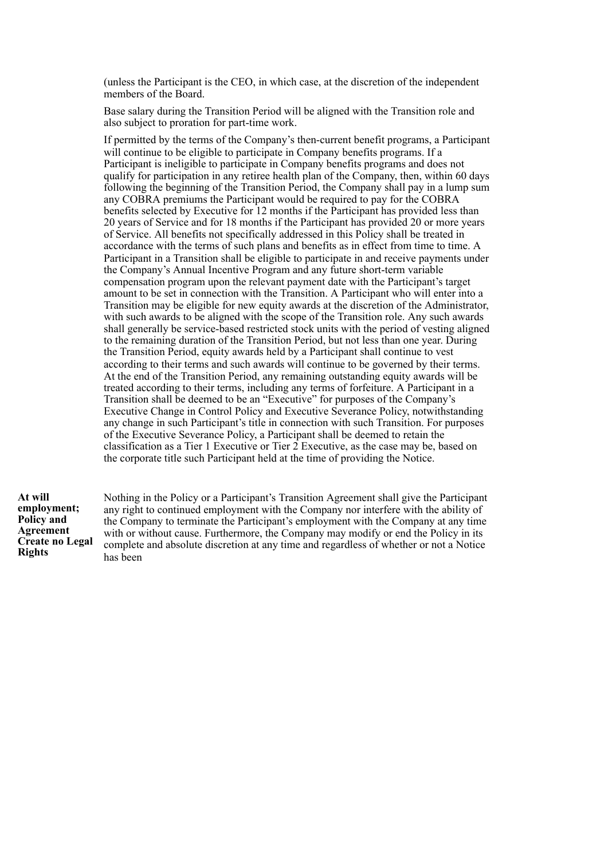(unless the Participant is the CEO, in which case, at the discretion of the independent members of the Board.

Base salary during the Transition Period will be aligned with the Transition role and also subject to proration for part-time work.

If permitted by the terms of the Company's then-current benefit programs, a Participant will continue to be eligible to participate in Company benefits programs. If a Participant is ineligible to participate in Company benefits programs and does not qualify for participation in any retiree health plan of the Company, then, within 60 days following the beginning of the Transition Period, the Company shall pay in a lump sum any COBRA premiums the Participant would be required to pay for the COBRA benefits selected by Executive for 12 months if the Participant has provided less than 20 years of Service and for 18 months if the Participant has provided 20 or more years of Service. All benefits not specifically addressed in this Policy shall be treated in accordance with the terms of such plans and benefits as in effect from time to time. A Participant in a Transition shall be eligible to participate in and receive payments under the Company's Annual Incentive Program and any future short-term variable compensation program upon the relevant payment date with the Participant's target amount to be set in connection with the Transition. A Participant who will enter into a Transition may be eligible for new equity awards at the discretion of the Administrator, with such awards to be aligned with the scope of the Transition role. Any such awards shall generally be service-based restricted stock units with the period of vesting aligned to the remaining duration of the Transition Period, but not less than one year. During the Transition Period, equity awards held by a Participant shall continue to vest according to their terms and such awards will continue to be governed by their terms. At the end of the Transition Period, any remaining outstanding equity awards will be treated according to their terms, including any terms of forfeiture. A Participant in a Transition shall be deemed to be an "Executive" for purposes of the Company's Executive Change in Control Policy and Executive Severance Policy, notwithstanding any change in such Participant's title in connection with such Transition. For purposes of the Executive Severance Policy, a Participant shall be deemed to retain the classification as a Tier 1 Executive or Tier 2 Executive, as the case may be, based on the corporate title such Participant held at the time of providing the Notice.

**At will employment; Policy and Agreement Create no Legal Rights**

Nothing in the Policy or a Participant's Transition Agreement shall give the Participant any right to continued employment with the Company nor interfere with the ability of the Company to terminate the Participant's employment with the Company at any time with or without cause. Furthermore, the Company may modify or end the Policy in its complete and absolute discretion at any time and regardless of whether or not a Notice has been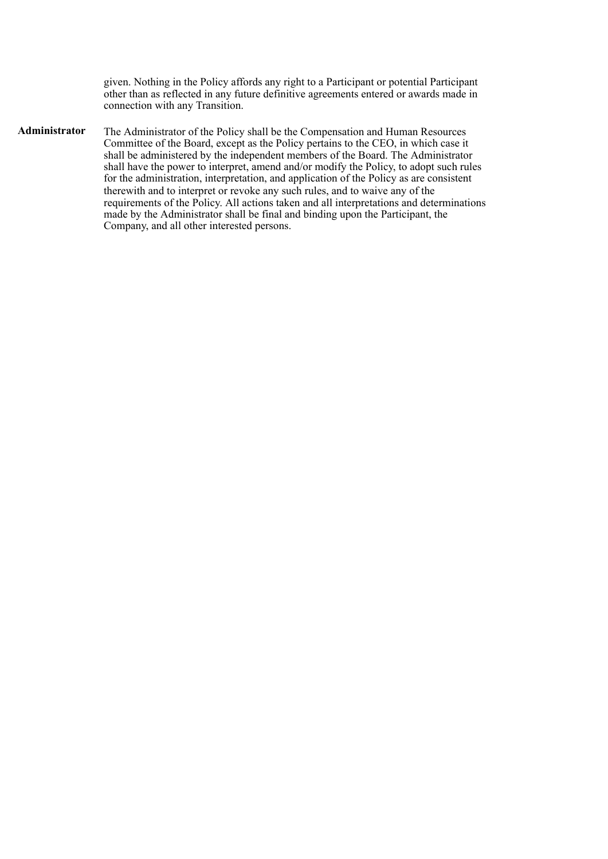given. Nothing in the Policy affords any right to a Participant or potential Participant other than as reflected in any future definitive agreements entered or awards made in connection with any Transition.

**Administrator** The Administrator of the Policy shall be the Compensation and Human Resources Committee of the Board, except as the Policy pertains to the CEO, in which case it shall be administered by the independent members of the Board. The Administrator shall have the power to interpret, amend and/or modify the Policy, to adopt such rules for the administration, interpretation, and application of the Policy as are consistent therewith and to interpret or revoke any such rules, and to waive any of the requirements of the Policy. All actions taken and all interpretations and determinations made by the Administrator shall be final and binding upon the Participant, the Company, and all other interested persons.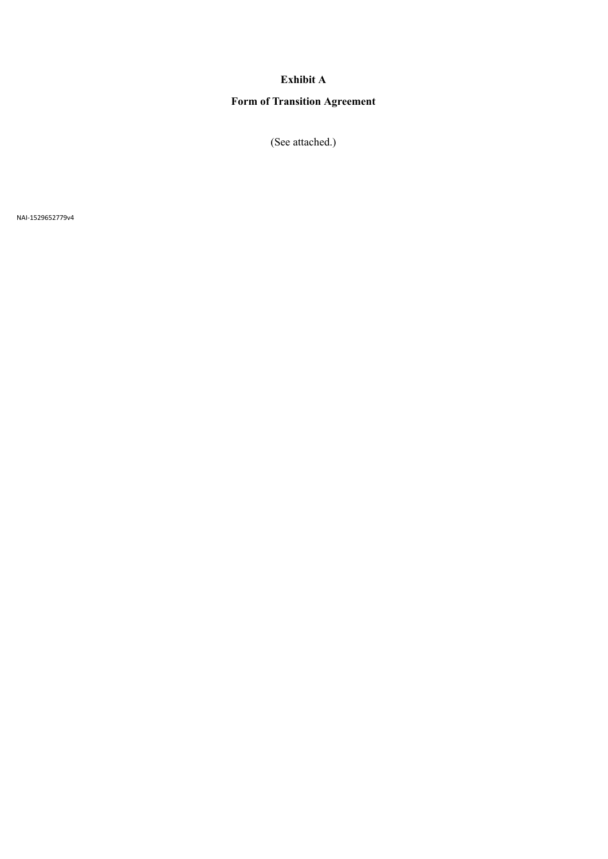## **Exhibit A**

# **Form of Transition Agreement**

(See attached.)

NAI-1529652779v4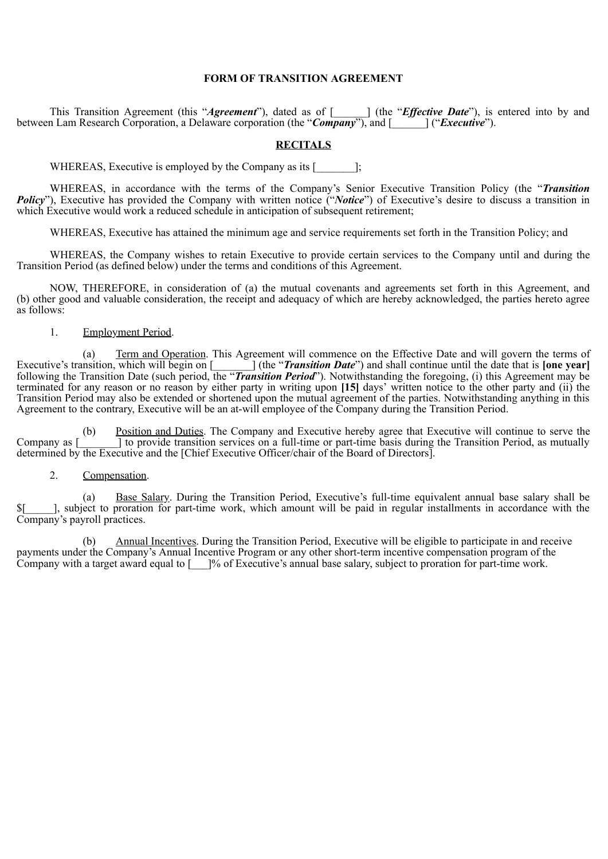## **FORM OF TRANSITION AGREEMENT**

This Transition Agreement (this "*Agreement*"), dated as of [\_\_\_\_\_\_] (the "*Effective Date*"), is entered into by and between Lam Research Corporation, a Delaware corporation (the "*Company*"), and [\_\_\_\_\_\_] ("*Executive*").

## **RECITALS**

WHEREAS, Executive is employed by the Company as its [\_\_\_\_\_\_\_\_];

WHEREAS, in accordance with the terms of the Company's Senior Executive Transition Policy (the "*Transition Policy*"), Executive has provided the Company with written notice ("*Notice*") of Executive's desire to discuss a transition in which Executive would work a reduced schedule in anticipation of subsequent retirement;

WHEREAS, Executive has attained the minimum age and service requirements set forth in the Transition Policy; and

WHEREAS, the Company wishes to retain Executive to provide certain services to the Company until and during the Transition Period (as defined below) under the terms and conditions of this Agreement.

NOW, THEREFORE, in consideration of (a) the mutual covenants and agreements set forth in this Agreement, and (b) other good and valuable consideration, the receipt and adequacy of which are hereby acknowledged, the parties hereto agree as follows:

#### 1. Employment Period.

(a) Term and Operation. This Agreement will commence on the Effective Date and will govern the terms of Executive's transition, which will begin on [\_\_\_\_\_\_\_] (the "*Transition Date*") and shall continue until the date that is **[one year]** following the Transition Date (such period, the "*Transition Period*"). Notwithstanding the foregoing, (i) this Agreement may be terminated for any reason or no reason by either party in writing upon **[15]** days' written notice to the other party and (ii) the Transition Period may also be extended or shortened upon the mutual agreement of the parties. Notwithstanding anything in this Agreement to the contrary, Executive will be an at-will employee of the Company during the Transition Period.

(b) Position and Duties. The Company and Executive hereby agree that Executive will continue to serve the Company as [\_\_\_\_\_\_\_] to provide transition services on a full-time or part-time basis during the Transition Period, as mutually determined by the Executive and the [Chief Executive Officer/chair of the Board of Directors].

#### 2. Compensation.

(a) Base Salary. During the Transition Period, Executive's full-time equivalent annual base salary shall be  $\frac{1}{2}$ , subject to proration for part-time work, which amount will be paid in regular installments in accordance with the Company's payroll practices.

(b) Annual Incentives. During the Transition Period, Executive will be eligible to participate in and receive payments under the Company's Annual Incentive Program or any other short-term incentive compensation program of the Company with a target award equal to [\_\_\_]% of Executive's annual base salary, subject to proration for part-time work.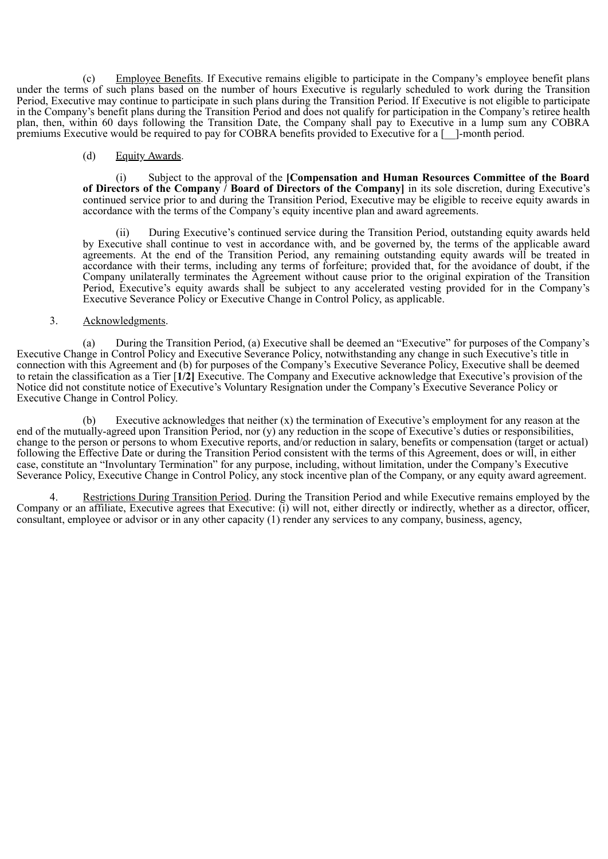(c) Employee Benefits. If Executive remains eligible to participate in the Company's employee benefit plans under the terms of such plans based on the number of hours Executive is regularly scheduled to work during the Transition Period, Executive may continue to participate in such plans during the Transition Period. If Executive is not eligible to participate in the Company's benefit plans during the Transition Period and does not qualify for participation in the Company's retiree health plan, then, within 60 days following the Transition Date, the Company shall pay to Executive in a lump sum any COBRA premiums Executive would be required to pay for COBRA benefits provided to Executive for a [\_\_]-month period.

## (d) Equity Awards.

(i) Subject to the approval of the **[Compensation and Human Resources Committee of the Board of Directors of the Company / Board of Directors of the Company]** in its sole discretion, during Executive's continued service prior to and during the Transition Period, Executive may be eligible to receive equity awards in accordance with the terms of the Company's equity incentive plan and award agreements.

(ii) During Executive's continued service during the Transition Period, outstanding equity awards held by Executive shall continue to vest in accordance with, and be governed by, the terms of the applicable award agreements. At the end of the Transition Period, any remaining outstanding equity awards will be treated in accordance with their terms, including any terms of forfeiture; provided that, for the avoidance of doubt, if the Company unilaterally terminates the Agreement without cause prior to the original expiration of the Transition Period, Executive's equity awards shall be subject to any accelerated vesting provided for in the Company's Executive Severance Policy or Executive Change in Control Policy, as applicable.

## 3. Acknowledgments.

(a) During the Transition Period, (a) Executive shall be deemed an "Executive" for purposes of the Company's Executive Change in Control Policy and Executive Severance Policy, notwithstanding any change in such Executive's title in connection with this Agreement and (b) for purposes of the Company's Executive Severance Policy, Executive shall be deemed to retain the classification as a Tier [**1/2]** Executive. The Company and Executive acknowledge that Executive's provision of the Notice did not constitute notice of Executive's Voluntary Resignation under the Company's Executive Severance Policy or Executive Change in Control Policy.

Executive acknowledges that neither  $(x)$  the termination of Executive's employment for any reason at the end of the mutually-agreed upon Transition Period, nor (y) any reduction in the scope of Executive's duties or responsibilities, change to the person or persons to whom Executive reports, and/or reduction in salary, benefits or compensation (target or actual) following the Effective Date or during the Transition Period consistent with the terms of this Agreement, does or will, in either case, constitute an "Involuntary Termination" for any purpose, including, without limitation, under the Company's Executive Severance Policy, Executive Change in Control Policy, any stock incentive plan of the Company, or any equity award agreement.

4. Restrictions During Transition Period. During the Transition Period and while Executive remains employed by the Company or an affiliate, Executive agrees that Executive: (i) will not, either directly or indirectly, whether as a director, officer, consultant, employee or advisor or in any other capacity (1) render any services to any company, business, agency,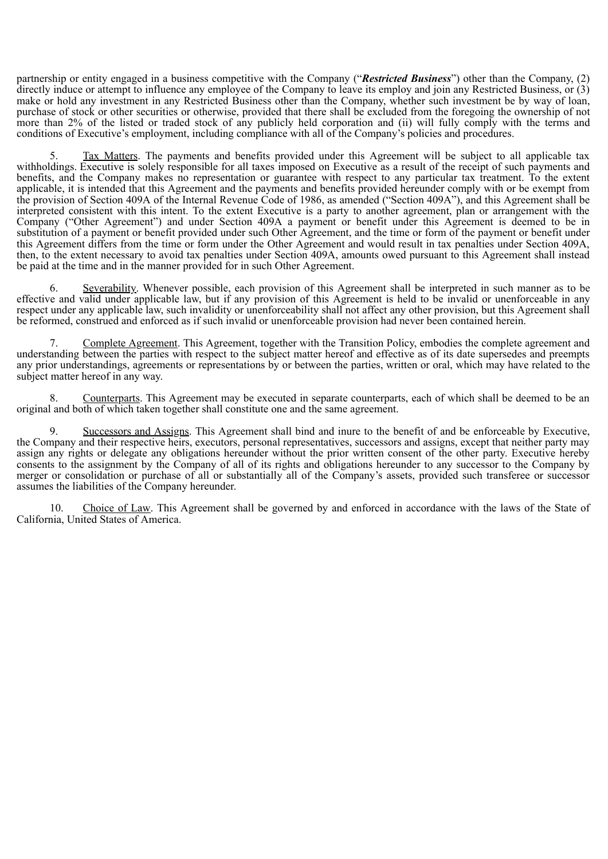partnership or entity engaged in a business competitive with the Company ("*Restricted Business*") other than the Company, (2) directly induce or attempt to influence any employee of the Company to leave its employ and join any Restricted Business, or (3) make or hold any investment in any Restricted Business other than the Company, whether such investment be by way of loan, purchase of stock or other securities or otherwise, provided that there shall be excluded from the foregoing the ownership of not more than 2% of the listed or traded stock of any publicly held corporation and (ii) will fully comply with the terms and conditions of Executive's employment, including compliance with all of the Company's policies and procedures.

5. Tax Matters. The payments and benefits provided under this Agreement will be subject to all applicable tax withholdings. Executive is solely responsible for all taxes imposed on Executive as a result of the receipt of such payments and benefits, and the Company makes no representation or guarantee with respect to any particular tax treatment. To the extent applicable, it is intended that this Agreement and the payments and benefits provided hereunder comply with or be exempt from the provision of Section 409A of the Internal Revenue Code of 1986, as amended ("Section 409A"), and this Agreement shall be interpreted consistent with this intent. To the extent Executive is a party to another agreement, plan or arrangement with the Company ("Other Agreement") and under Section 409A a payment or benefit under this Agreement is deemed to be in substitution of a payment or benefit provided under such Other Agreement, and the time or form of the payment or benefit under this Agreement differs from the time or form under the Other Agreement and would result in tax penalties under Section 409A, then, to the extent necessary to avoid tax penalties under Section 409A, amounts owed pursuant to this Agreement shall instead be paid at the time and in the manner provided for in such Other Agreement.

6. Severability. Whenever possible, each provision of this Agreement shall be interpreted in such manner as to be effective and valid under applicable law, but if any provision of this Agreement is held to be invalid or unenforceable in any respect under any applicable law, such invalidity or unenforceability shall not affect any other provision, but this Agreement shall be reformed, construed and enforced as if such invalid or unenforceable provision had never been contained herein.

7. Complete Agreement. This Agreement, together with the Transition Policy, embodies the complete agreement and understanding between the parties with respect to the subject matter hereof and effective as of its date supersedes and preempts any prior understandings, agreements or representations by or between the parties, written or oral, which may have related to the subject matter hereof in any way.

8. Counterparts. This Agreement may be executed in separate counterparts, each of which shall be deemed to be an original and both of which taken together shall constitute one and the same agreement.

9. Successors and Assigns. This Agreement shall bind and inure to the benefit of and be enforceable by Executive, the Company and their respective heirs, executors, personal representatives, successors and assigns, except that neither party may assign any rights or delegate any obligations hereunder without the prior written consent of the other party. Executive hereby consents to the assignment by the Company of all of its rights and obligations hereunder to any successor to the Company by merger or consolidation or purchase of all or substantially all of the Company's assets, provided such transferee or successor assumes the liabilities of the Company hereunder.

10. Choice of Law. This Agreement shall be governed by and enforced in accordance with the laws of the State of California, United States of America.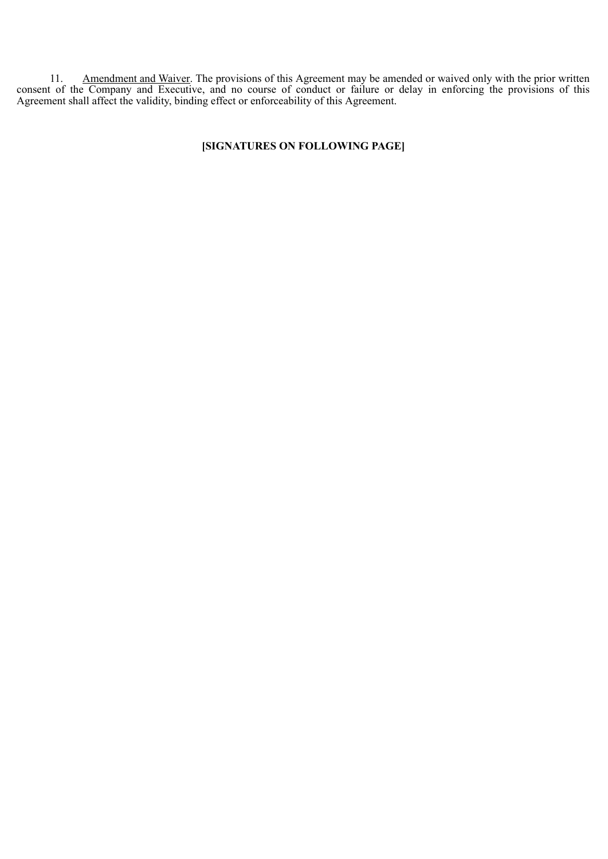11. Amendment and Waiver. The provisions of this Agreement may be amended or waived only with the prior written consent of the Company and Executive, and no course of conduct or failure or delay in enforcing the provisions of this Agreement shall affect the validity, binding effect or enforceability of this Agreement.

## **[SIGNATURES ON FOLLOWING PAGE]**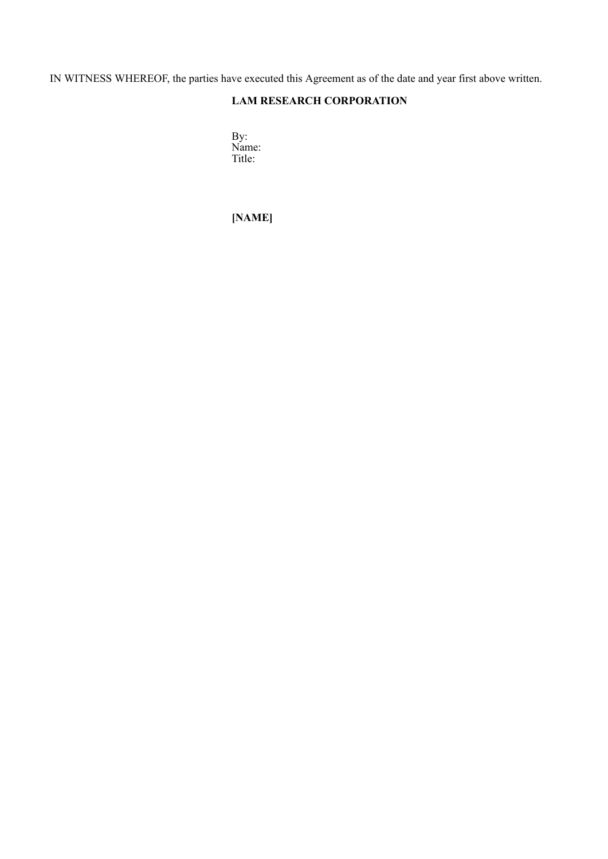IN WITNESS WHEREOF, the parties have executed this Agreement as of the date and year first above written.

# **LAM RESEARCH CORPORATION**

By: Name: Title:

**[NAME]**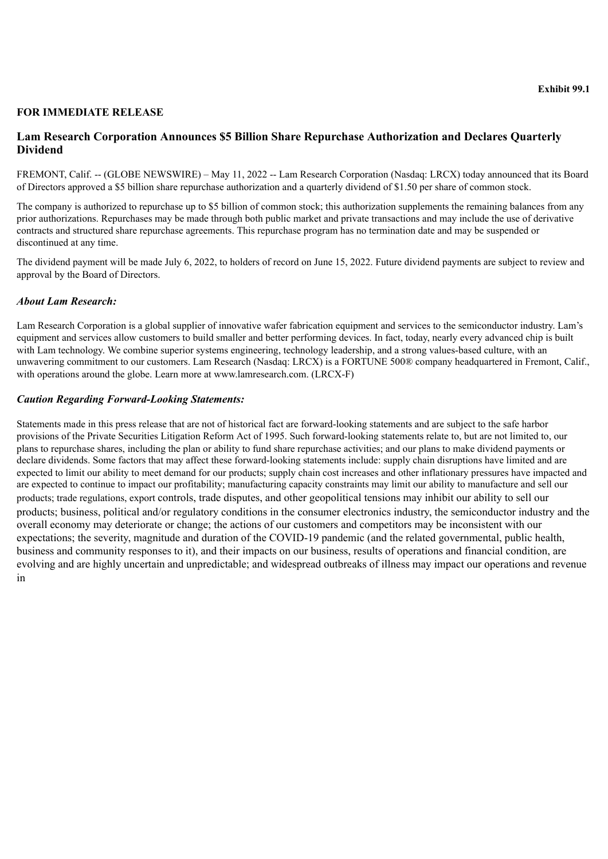## <span id="page-45-0"></span>**FOR IMMEDIATE RELEASE**

## **Lam Research Corporation Announces \$5 Billion Share Repurchase Authorization and Declares Quarterly Dividend**

FREMONT, Calif. -- (GLOBE NEWSWIRE) – May 11, 2022 -- Lam Research Corporation (Nasdaq: LRCX) today announced that its Board of Directors approved a \$5 billion share repurchase authorization and a quarterly dividend of \$1.50 per share of common stock.

The company is authorized to repurchase up to \$5 billion of common stock; this authorization supplements the remaining balances from any prior authorizations. Repurchases may be made through both public market and private transactions and may include the use of derivative contracts and structured share repurchase agreements. This repurchase program has no termination date and may be suspended or discontinued at any time.

The dividend payment will be made July 6, 2022, to holders of record on June 15, 2022. Future dividend payments are subject to review and approval by the Board of Directors.

## *About Lam Research:*

Lam Research Corporation is a global supplier of innovative wafer fabrication equipment and services to the semiconductor industry. Lam's equipment and services allow customers to build smaller and better performing devices. In fact, today, nearly every advanced chip is built with Lam technology. We combine superior systems engineering, technology leadership, and a strong values-based culture, with an unwavering commitment to our customers. Lam Research (Nasdaq: LRCX) is a FORTUNE 500® company headquartered in Fremont, Calif., with operations around the globe. Learn more at www.lamresearch.com. (LRCX-F)

## *Caution Regarding Forward-Looking Statements:*

Statements made in this press release that are not of historical fact are forward-looking statements and are subject to the safe harbor provisions of the Private Securities Litigation Reform Act of 1995. Such forward-looking statements relate to, but are not limited to, our plans to repurchase shares, including the plan or ability to fund share repurchase activities; and our plans to make dividend payments or declare dividends. Some factors that may affect these forward-looking statements include: supply chain disruptions have limited and are expected to limit our ability to meet demand for our products; supply chain cost increases and other inflationary pressures have impacted and are expected to continue to impact our profitability; manufacturing capacity constraints may limit our ability to manufacture and sell our products; trade regulations, export controls, trade disputes, and other geopolitical tensions may inhibit our ability to sell our products; business, political and/or regulatory conditions in the consumer electronics industry, the semiconductor industry and the overall economy may deteriorate or change; the actions of our customers and competitors may be inconsistent with our expectations; the severity, magnitude and duration of the COVID-19 pandemic (and the related governmental, public health, business and community responses to it), and their impacts on our business, results of operations and financial condition, are evolving and are highly uncertain and unpredictable; and widespread outbreaks of illness may impact our operations and revenue in